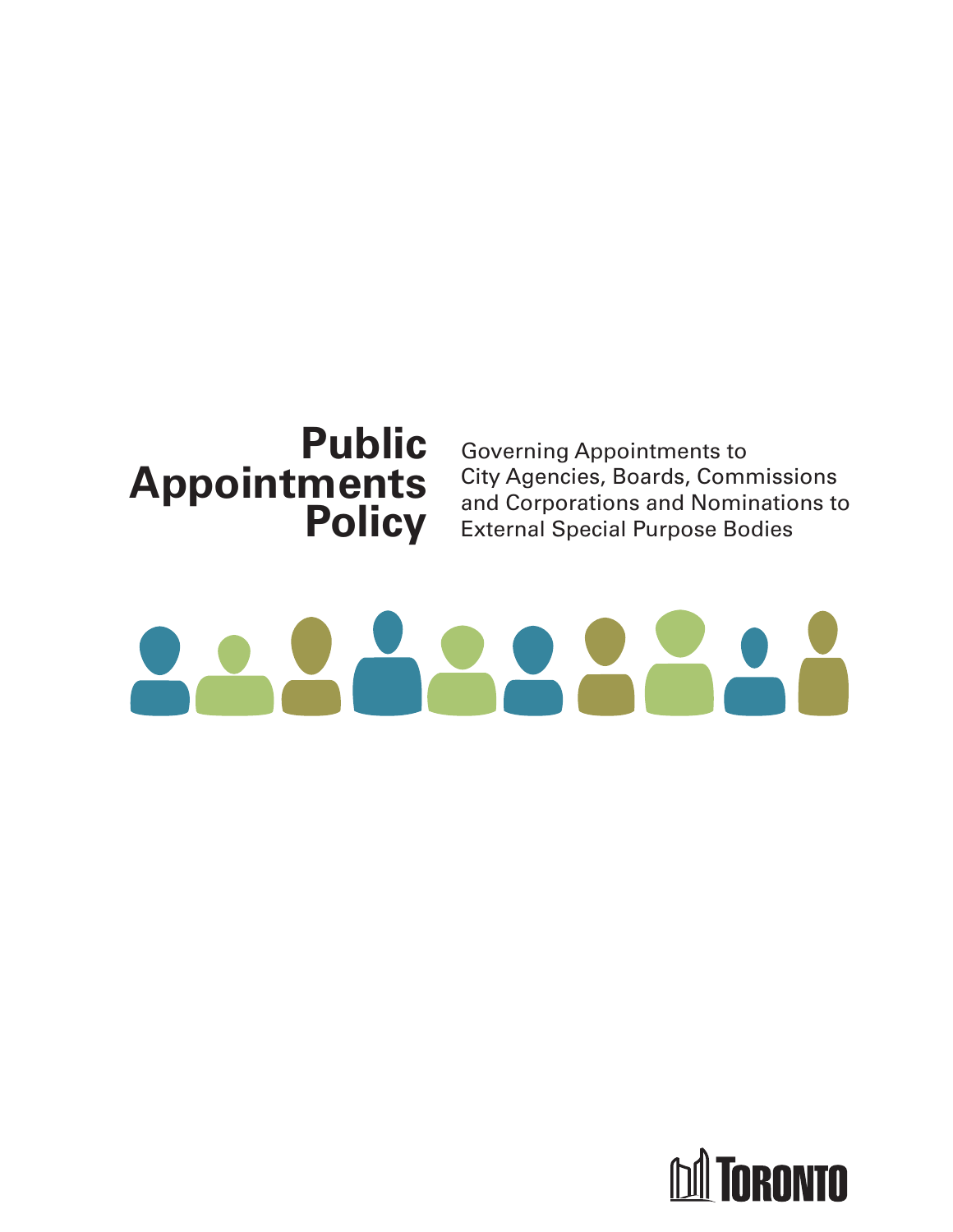

Governing Appointments to City Agencies, Boards, Commissions and Corporations and Nominations to External Special Purpose Bodies

# $\overline{2}$

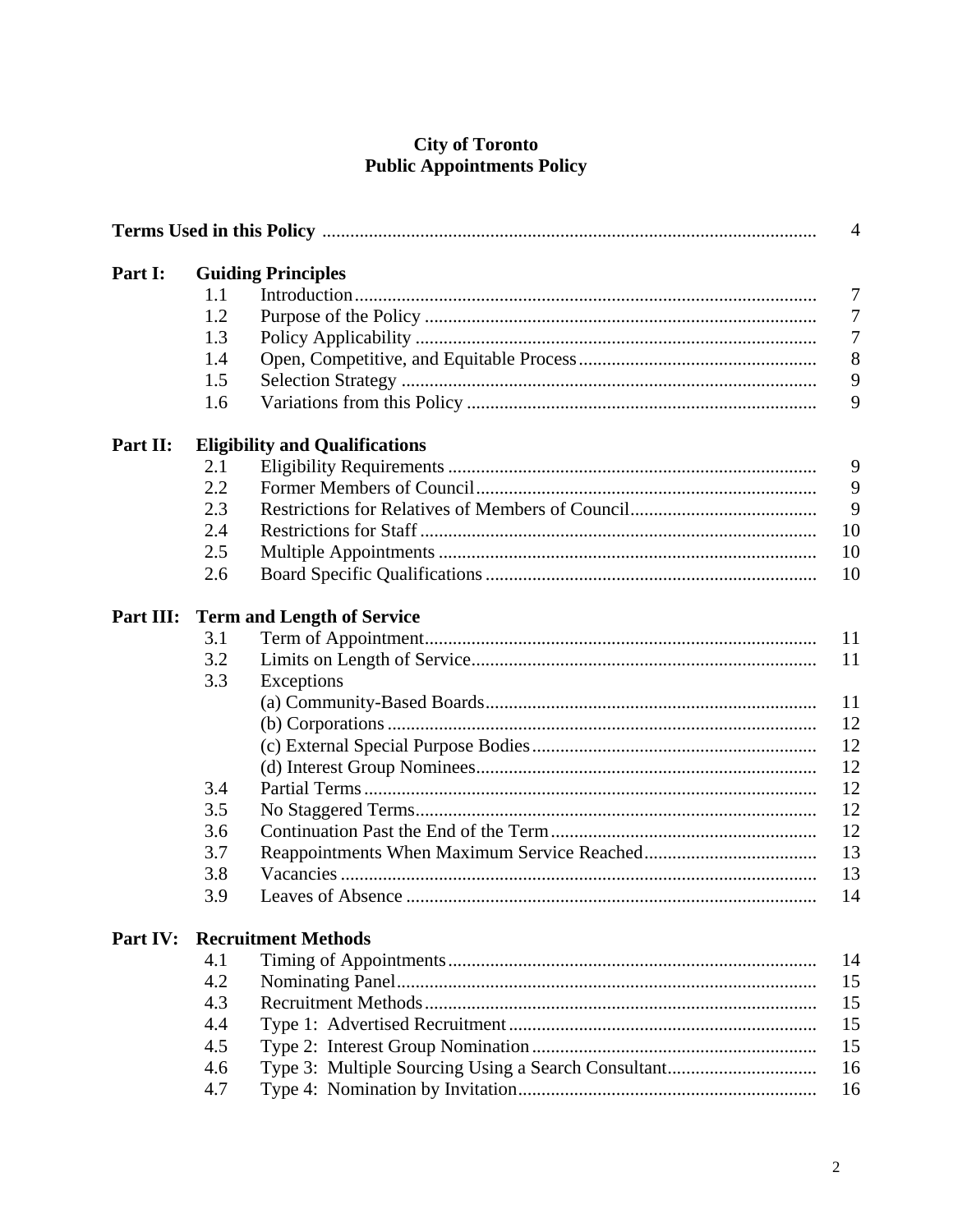# **City of Toronto<br>Public Appointments Policy**

| $\overline{4}$ |                                   |                                       |
|----------------|-----------------------------------|---------------------------------------|
| Part I:        |                                   | <b>Guiding Principles</b>             |
|                | 1.1                               | 7                                     |
|                | 1.2                               | $\overline{7}$                        |
|                | 1.3                               | $\overline{7}$                        |
|                | 1.4                               | 8                                     |
|                | 1.5                               | 9                                     |
|                | 1.6                               | 9                                     |
| Part II:       |                                   | <b>Eligibility and Qualifications</b> |
|                | 2.1                               | 9                                     |
|                | 2.2                               | 9                                     |
|                | 2.3                               | 9                                     |
|                | 2.4                               | 10                                    |
|                | 2.5                               | 10                                    |
|                | 2.6                               | 10                                    |
| Part III:      | <b>Term and Length of Service</b> |                                       |
|                | 3.1                               | 11                                    |
|                | 3.2                               | 11                                    |
|                | 3.3                               | Exceptions                            |
|                |                                   | 11                                    |
|                |                                   | 12                                    |
|                |                                   | 12                                    |
|                |                                   | 12                                    |
|                | 3.4                               | 12                                    |
|                | 3.5                               | 12                                    |
|                | 3.6                               | 12                                    |
|                | 3.7                               | 13                                    |
|                | 3.8                               | 13                                    |
|                | 3.9                               | 14                                    |
| Part IV:       |                                   | <b>Recruitment Methods</b>            |
|                | 4.1                               | 14                                    |
|                | 4.2                               | 15                                    |
|                | 4.3                               | 15                                    |
|                | 4.4                               | 15                                    |
|                | 4.5                               | 15                                    |
|                | 4.6                               | 16                                    |
|                | 4.7                               | 16                                    |
|                |                                   |                                       |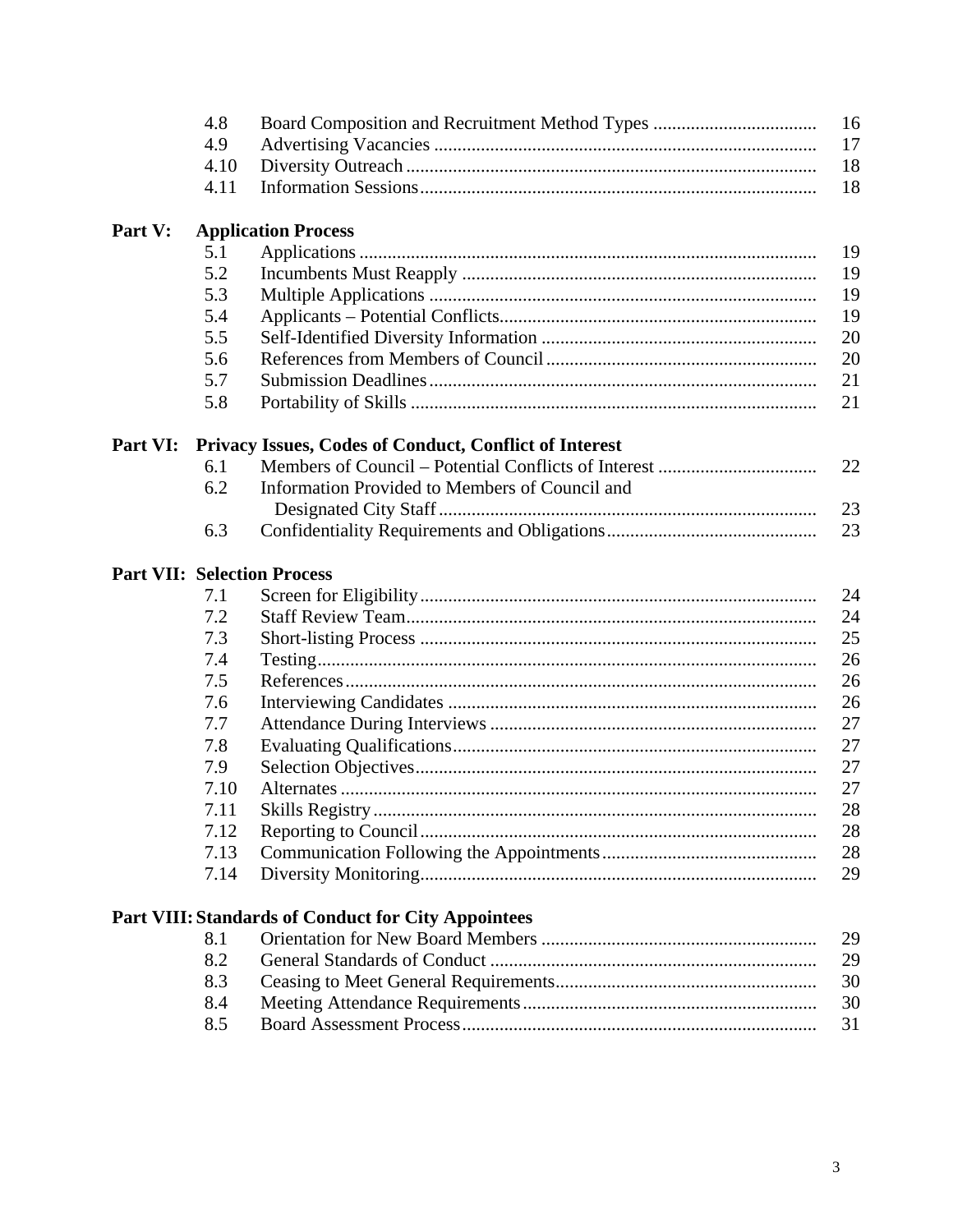|          | 4.8  | 16                                                         |
|----------|------|------------------------------------------------------------|
|          | 4.9  | 17                                                         |
|          | 4.10 | 18                                                         |
|          | 4.11 | 18                                                         |
| Part V:  |      | <b>Application Process</b>                                 |
|          | 5.1  | 19                                                         |
|          | 5.2  | 19                                                         |
|          | 5.3  | 19                                                         |
|          | 5.4  | 19                                                         |
|          | 5.5  | 20                                                         |
|          | 5.6  | 20                                                         |
|          | 5.7  | 21                                                         |
|          | 5.8  | 21                                                         |
| Part VI: |      | Privacy Issues, Codes of Conduct, Conflict of Interest     |
|          | 6.1  | 22                                                         |
|          | 6.2  | Information Provided to Members of Council and             |
|          |      | 23                                                         |
|          | 6.3  | 23                                                         |
|          |      | <b>Part VII: Selection Process</b>                         |
|          | 7.1  | 24                                                         |
|          | 7.2  | 24                                                         |
|          | 7.3  | 25                                                         |
|          | 7.4  | 26                                                         |
|          | 7.5  | 26                                                         |
|          | 7.6  | 26                                                         |
|          | 7.7  | 27                                                         |
|          | 7.8  | 27                                                         |
|          | 7.9  | 27                                                         |
|          | 7.10 | 27                                                         |
|          | 7.11 | 28                                                         |
|          | 7.12 | 28                                                         |
|          | 7.13 | 28                                                         |
|          | 7.14 | 29                                                         |
|          |      | <b>Part VIII: Standards of Conduct for City Appointees</b> |
|          | 8.1  | 29                                                         |
|          | 8.2  | 29                                                         |
|          | 8.3  | 30                                                         |
|          | 8.4  | 30                                                         |

8.5 31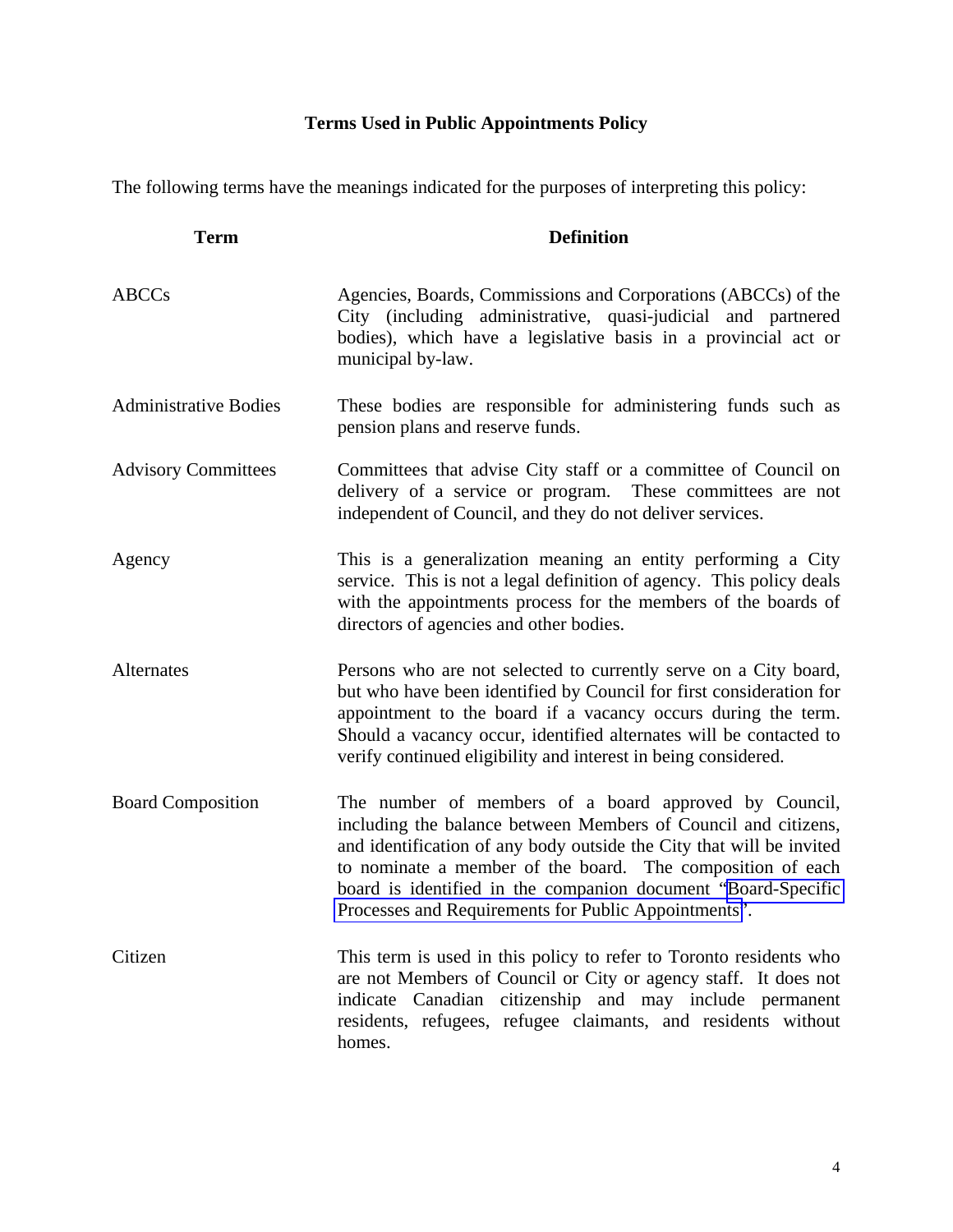### **Terms Used in Public Appointments Policy**

The following terms have the meanings indicated for the purposes of interpreting this policy:

| <b>Term</b>                  | <b>Definition</b>                                                                                                                                                                                                                                                                                                                                                                      |
|------------------------------|----------------------------------------------------------------------------------------------------------------------------------------------------------------------------------------------------------------------------------------------------------------------------------------------------------------------------------------------------------------------------------------|
| <b>ABCCs</b>                 | Agencies, Boards, Commissions and Corporations (ABCCs) of the<br>City (including administrative, quasi-judicial and partnered<br>bodies), which have a legislative basis in a provincial act or<br>municipal by-law.                                                                                                                                                                   |
| <b>Administrative Bodies</b> | These bodies are responsible for administering funds such as<br>pension plans and reserve funds.                                                                                                                                                                                                                                                                                       |
| <b>Advisory Committees</b>   | Committees that advise City staff or a committee of Council on<br>delivery of a service or program. These committees are not<br>independent of Council, and they do not deliver services.                                                                                                                                                                                              |
| Agency                       | This is a generalization meaning an entity performing a City<br>service. This is not a legal definition of agency. This policy deals<br>with the appointments process for the members of the boards of<br>directors of agencies and other bodies.                                                                                                                                      |
| Alternates                   | Persons who are not selected to currently serve on a City board,<br>but who have been identified by Council for first consideration for<br>appointment to the board if a vacancy occurs during the term.<br>Should a vacancy occur, identified alternates will be contacted to<br>verify continued eligibility and interest in being considered.                                       |
| <b>Board Composition</b>     | The number of members of a board approved by Council,<br>including the balance between Members of Council and citizens,<br>and identification of any body outside the City that will be invited<br>to nominate a member of the board. The composition of each<br>board is identified in the companion document "Board-Specific<br>Processes and Requirements for Public Appointments". |
| Citizen                      | This term is used in this policy to refer to Toronto residents who<br>are not Members of Council or City or agency staff. It does not<br>indicate Canadian citizenship and may include permanent<br>residents, refugees, refugee claimants, and residents without<br>homes.                                                                                                            |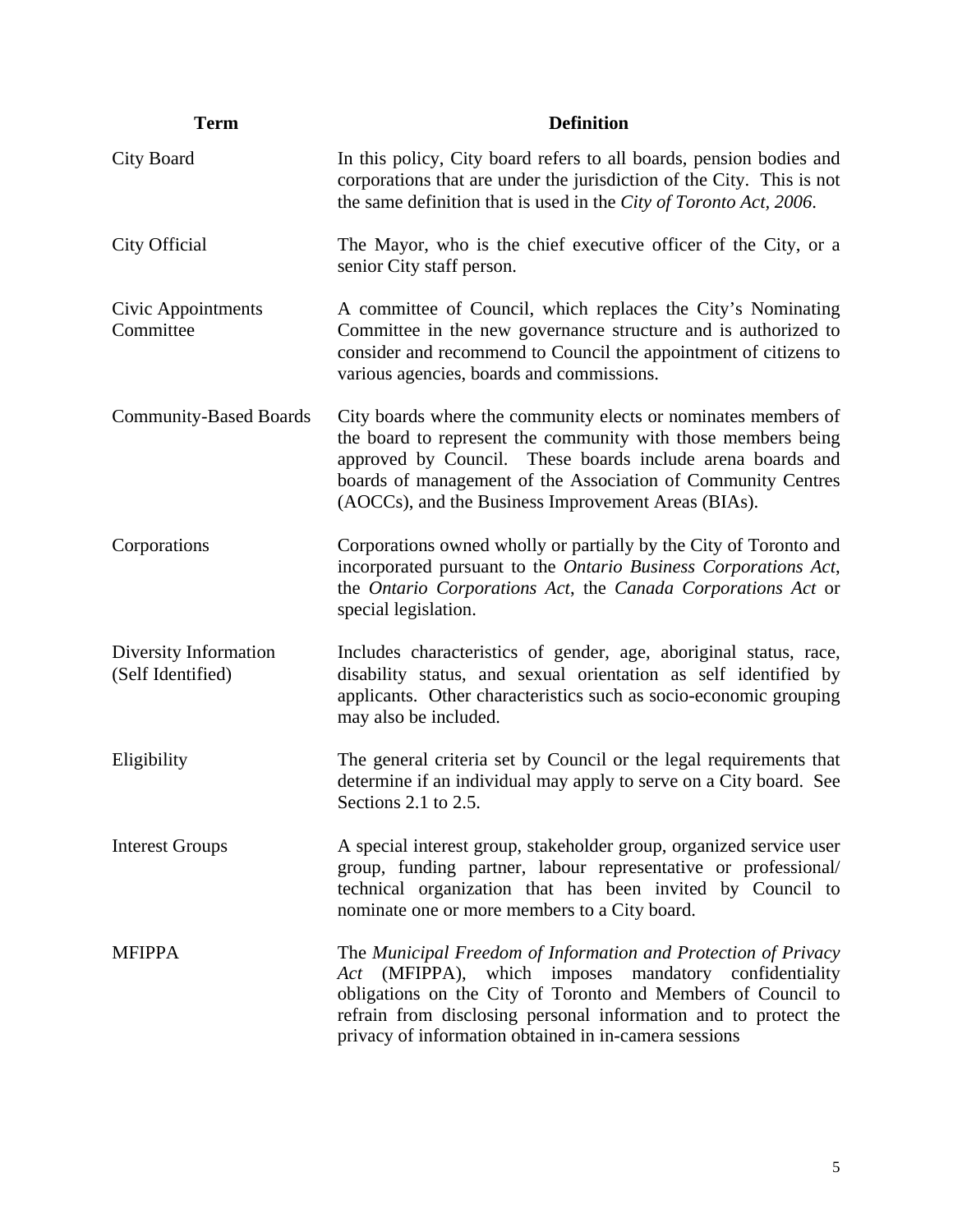| <b>Term</b>                                | <b>Definition</b>                                                                                                                                                                                                                                                                                                      |
|--------------------------------------------|------------------------------------------------------------------------------------------------------------------------------------------------------------------------------------------------------------------------------------------------------------------------------------------------------------------------|
| City Board                                 | In this policy, City board refers to all boards, pension bodies and<br>corporations that are under the jurisdiction of the City. This is not<br>the same definition that is used in the City of Toronto Act, 2006.                                                                                                     |
| City Official                              | The Mayor, who is the chief executive officer of the City, or a<br>senior City staff person.                                                                                                                                                                                                                           |
| Civic Appointments<br>Committee            | A committee of Council, which replaces the City's Nominating<br>Committee in the new governance structure and is authorized to<br>consider and recommend to Council the appointment of citizens to<br>various agencies, boards and commissions.                                                                        |
| <b>Community-Based Boards</b>              | City boards where the community elects or nominates members of<br>the board to represent the community with those members being<br>approved by Council. These boards include arena boards and<br>boards of management of the Association of Community Centres<br>(AOCCs), and the Business Improvement Areas (BIAs).   |
| Corporations                               | Corporations owned wholly or partially by the City of Toronto and<br>incorporated pursuant to the Ontario Business Corporations Act,<br>the Ontario Corporations Act, the Canada Corporations Act or<br>special legislation.                                                                                           |
| Diversity Information<br>(Self Identified) | Includes characteristics of gender, age, aboriginal status, race,<br>disability status, and sexual orientation as self identified by<br>applicants. Other characteristics such as socio-economic grouping<br>may also be included.                                                                                     |
| Eligibility                                | The general criteria set by Council or the legal requirements that<br>determine if an individual may apply to serve on a City board. See<br>Sections 2.1 to $2.5$ .                                                                                                                                                    |
| <b>Interest Groups</b>                     | A special interest group, stakeholder group, organized service user<br>group, funding partner, labour representative or professional/<br>technical organization that has been invited by Council to<br>nominate one or more members to a City board.                                                                   |
| <b>MFIPPA</b>                              | The Municipal Freedom of Information and Protection of Privacy<br>(MFIPPA), which imposes mandatory confidentiality<br>Act<br>obligations on the City of Toronto and Members of Council to<br>refrain from disclosing personal information and to protect the<br>privacy of information obtained in in-camera sessions |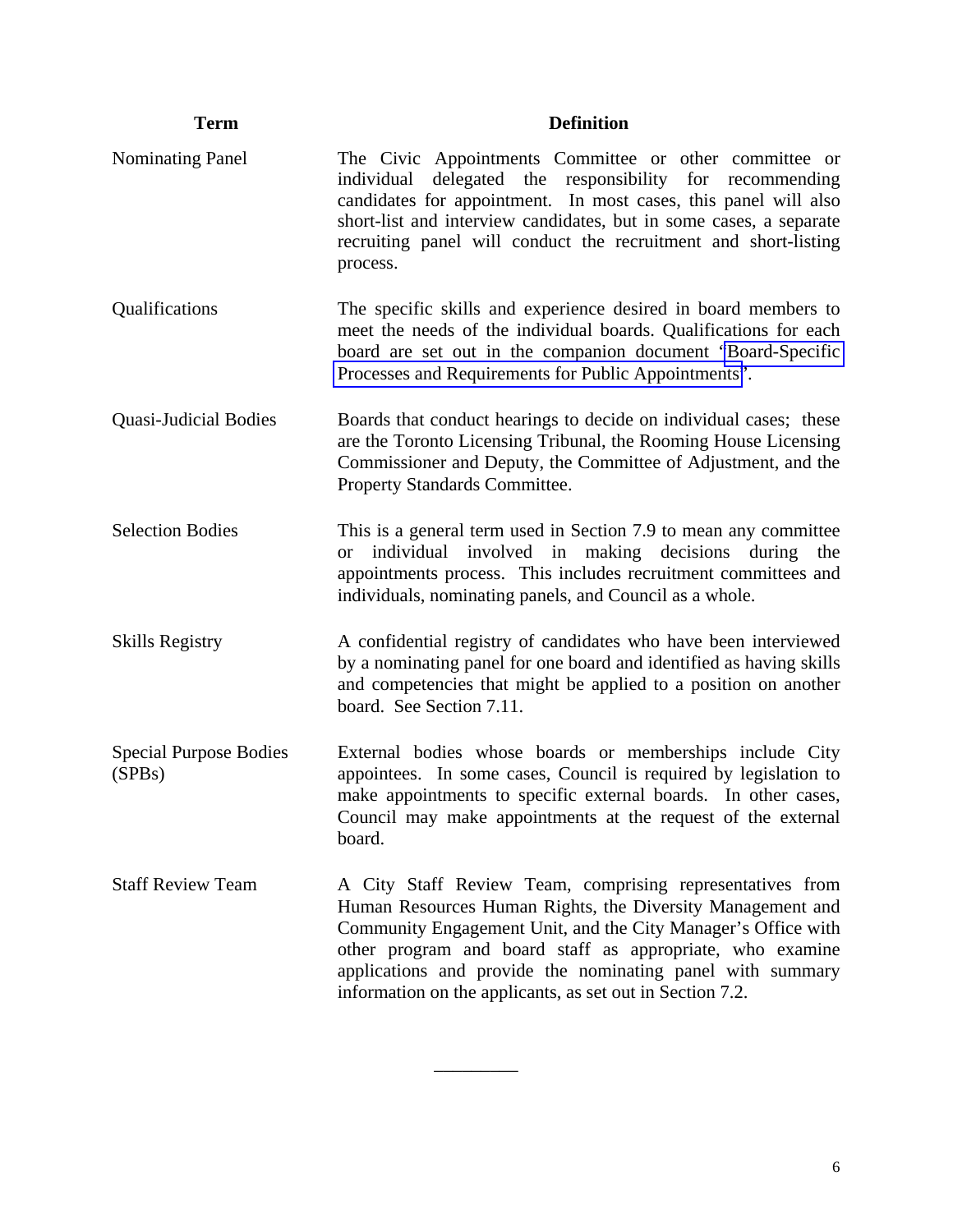| <b>Term</b>                             | <b>Definition</b>                                                                                                                                                                                                                                                                                                                                                                |
|-----------------------------------------|----------------------------------------------------------------------------------------------------------------------------------------------------------------------------------------------------------------------------------------------------------------------------------------------------------------------------------------------------------------------------------|
| <b>Nominating Panel</b>                 | The Civic Appointments Committee or other committee or<br>delegated the responsibility for recommending<br>individual<br>candidates for appointment. In most cases, this panel will also<br>short-list and interview candidates, but in some cases, a separate<br>recruiting panel will conduct the recruitment and short-listing<br>process.                                    |
| Qualifications                          | The specific skills and experience desired in board members to<br>meet the needs of the individual boards. Qualifications for each<br>board are set out in the companion document "Board-Specific<br>Processes and Requirements for Public Appointments".                                                                                                                        |
| <b>Quasi-Judicial Bodies</b>            | Boards that conduct hearings to decide on individual cases; these<br>are the Toronto Licensing Tribunal, the Rooming House Licensing<br>Commissioner and Deputy, the Committee of Adjustment, and the<br>Property Standards Committee.                                                                                                                                           |
| <b>Selection Bodies</b>                 | This is a general term used in Section 7.9 to mean any committee<br>individual involved in making decisions<br>during<br>the<br><b>or</b><br>appointments process. This includes recruitment committees and<br>individuals, nominating panels, and Council as a whole.                                                                                                           |
| <b>Skills Registry</b>                  | A confidential registry of candidates who have been interviewed<br>by a nominating panel for one board and identified as having skills<br>and competencies that might be applied to a position on another<br>board. See Section 7.11.                                                                                                                                            |
| <b>Special Purpose Bodies</b><br>(SPBs) | External bodies whose boards or memberships include City<br>appointees. In some cases, Council is required by legislation to<br>make appointments to specific external boards. In other cases,<br>Council may make appointments at the request of the external<br>board.                                                                                                         |
| <b>Staff Review Team</b>                | A City Staff Review Team, comprising representatives from<br>Human Resources Human Rights, the Diversity Management and<br>Community Engagement Unit, and the City Manager's Office with<br>other program and board staff as appropriate, who examine<br>applications and provide the nominating panel with summary<br>information on the applicants, as set out in Section 7.2. |

\_\_\_\_\_\_\_\_\_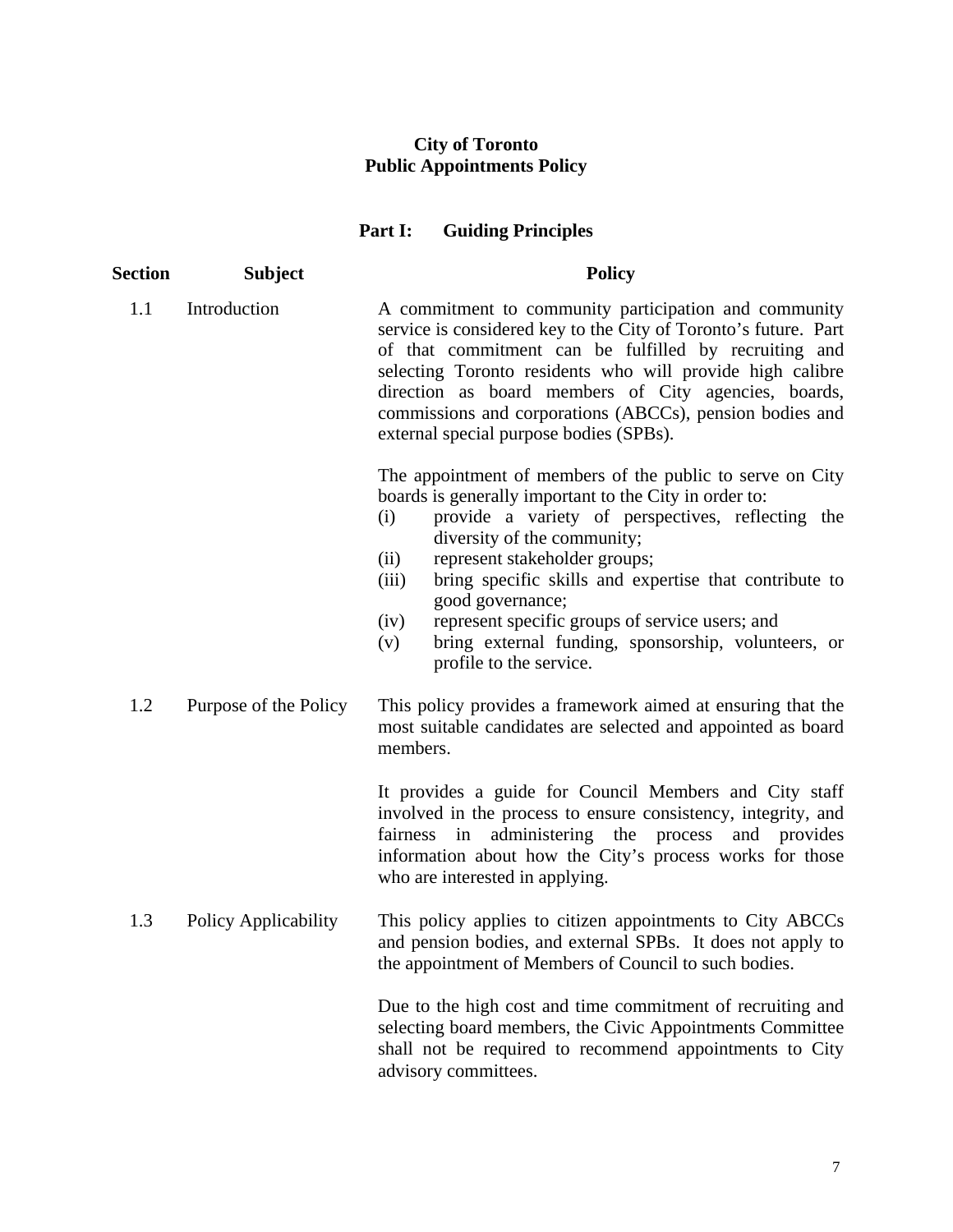#### **City of Toronto Public Appointments Policy**

### **Part I: Guiding Principles**

| <b>Section</b> | <b>Subject</b>        | <b>Policy</b>                                                                                                                                                                                                                                                                                                                                                                                                                                                                                      |
|----------------|-----------------------|----------------------------------------------------------------------------------------------------------------------------------------------------------------------------------------------------------------------------------------------------------------------------------------------------------------------------------------------------------------------------------------------------------------------------------------------------------------------------------------------------|
| 1.1            | Introduction          | A commitment to community participation and community<br>service is considered key to the City of Toronto's future. Part<br>of that commitment can be fulfilled by recruiting and<br>selecting Toronto residents who will provide high calibre<br>direction as board members of City agencies, boards,<br>commissions and corporations (ABCCs), pension bodies and<br>external special purpose bodies (SPBs).                                                                                      |
|                |                       | The appointment of members of the public to serve on City<br>boards is generally important to the City in order to:<br>provide a variety of perspectives, reflecting the<br>(i)<br>diversity of the community;<br>represent stakeholder groups;<br>(ii)<br>bring specific skills and expertise that contribute to<br>(iii)<br>good governance;<br>represent specific groups of service users; and<br>(iv)<br>bring external funding, sponsorship, volunteers, or<br>(v)<br>profile to the service. |
| 1.2            | Purpose of the Policy | This policy provides a framework aimed at ensuring that the<br>most suitable candidates are selected and appointed as board<br>members.                                                                                                                                                                                                                                                                                                                                                            |
|                |                       | It provides a guide for Council Members and City staff<br>involved in the process to ensure consistency, integrity, and<br>in administering the process and provides<br>fairness<br>information about how the City's process works for those<br>who are interested in applying.                                                                                                                                                                                                                    |
| 1.3            | Policy Applicability  | This policy applies to citizen appointments to City ABCCs<br>and pension bodies, and external SPBs. It does not apply to<br>the appointment of Members of Council to such bodies.                                                                                                                                                                                                                                                                                                                  |
|                |                       | Due to the high cost and time commitment of recruiting and<br>selecting board members, the Civic Appointments Committee<br>shall not be required to recommend appointments to City<br>advisory committees.                                                                                                                                                                                                                                                                                         |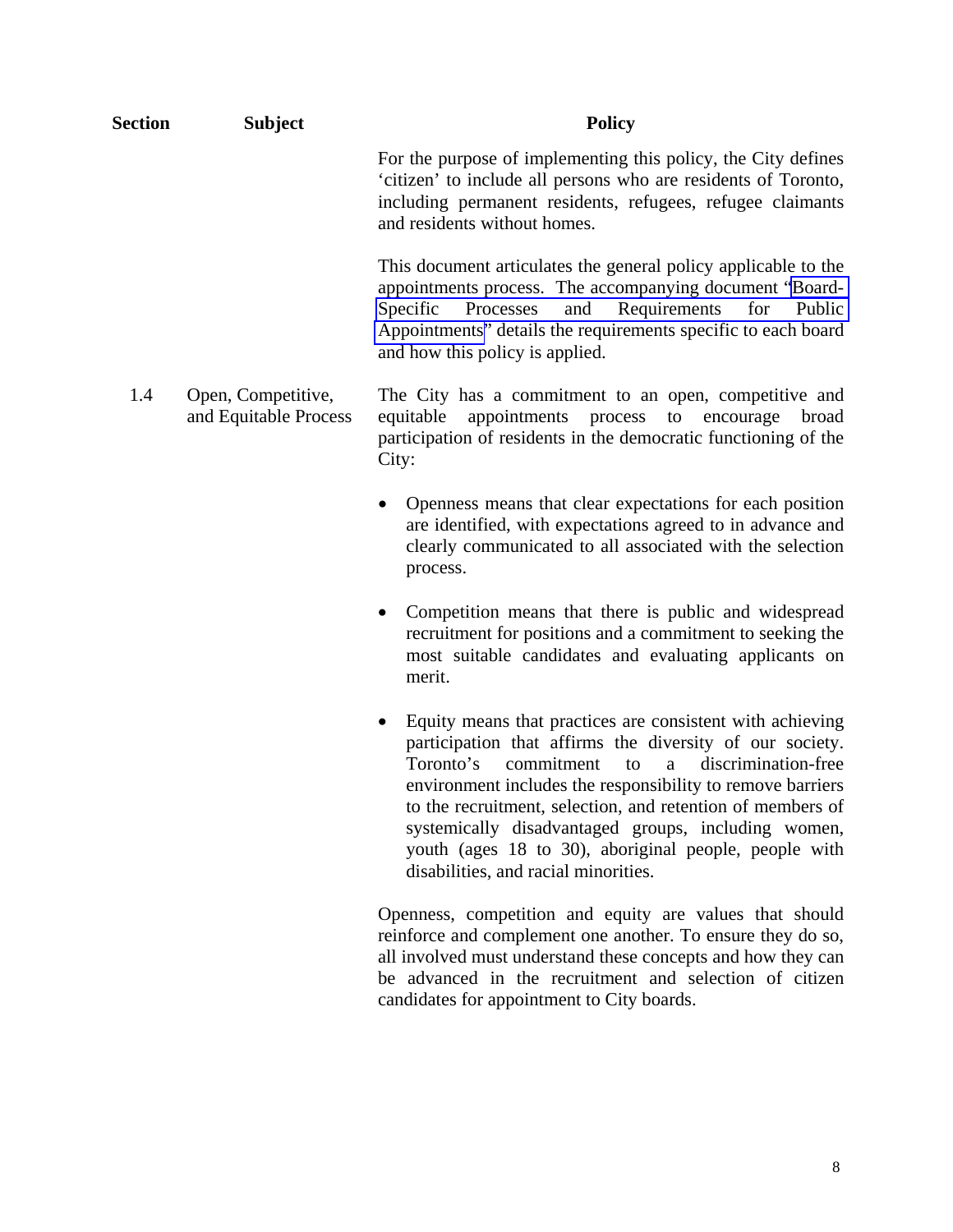| <b>Section</b> | <b>Subject</b>                              | <b>Policy</b>                                                                                                                                                                                                                                                                                                                                                                                                                                                               |
|----------------|---------------------------------------------|-----------------------------------------------------------------------------------------------------------------------------------------------------------------------------------------------------------------------------------------------------------------------------------------------------------------------------------------------------------------------------------------------------------------------------------------------------------------------------|
|                |                                             | For the purpose of implementing this policy, the City defines<br>'citizen' to include all persons who are residents of Toronto,<br>including permanent residents, refugees, refugee claimants<br>and residents without homes.                                                                                                                                                                                                                                               |
|                |                                             | This document articulates the general policy applicable to the<br>appointments process. The accompanying document "Board-<br>for<br>Specific<br>Processes<br>and<br>Requirements<br>Public<br>Appointments" details the requirements specific to each board<br>and how this policy is applied.                                                                                                                                                                              |
| 1.4            | Open, Competitive,<br>and Equitable Process | The City has a commitment to an open, competitive and<br>equitable<br>appointments<br>process<br>to<br>encourage<br>broad<br>participation of residents in the democratic functioning of the<br>City:                                                                                                                                                                                                                                                                       |
|                |                                             | Openness means that clear expectations for each position<br>$\bullet$<br>are identified, with expectations agreed to in advance and<br>clearly communicated to all associated with the selection<br>process.                                                                                                                                                                                                                                                                |
|                |                                             | Competition means that there is public and widespread<br>$\bullet$<br>recruitment for positions and a commitment to seeking the<br>most suitable candidates and evaluating applicants on<br>merit.                                                                                                                                                                                                                                                                          |
|                |                                             | Equity means that practices are consistent with achieving<br>٠<br>participation that affirms the diversity of our society.<br>Toronto's<br>commitment<br>discrimination-free<br>to<br>a<br>environment includes the responsibility to remove barriers<br>to the recruitment, selection, and retention of members of<br>systemically disadvantaged groups, including women,<br>youth (ages 18 to 30), aboriginal people, people with<br>disabilities, and racial minorities. |
|                |                                             | Openness, competition and equity are values that should<br>reinforce and complement one another. To ensure they do so,<br>all involved must understand these concepts and how they can                                                                                                                                                                                                                                                                                      |

be advanced in the recruitment and selection of citizen

candidates for appointment to City boards.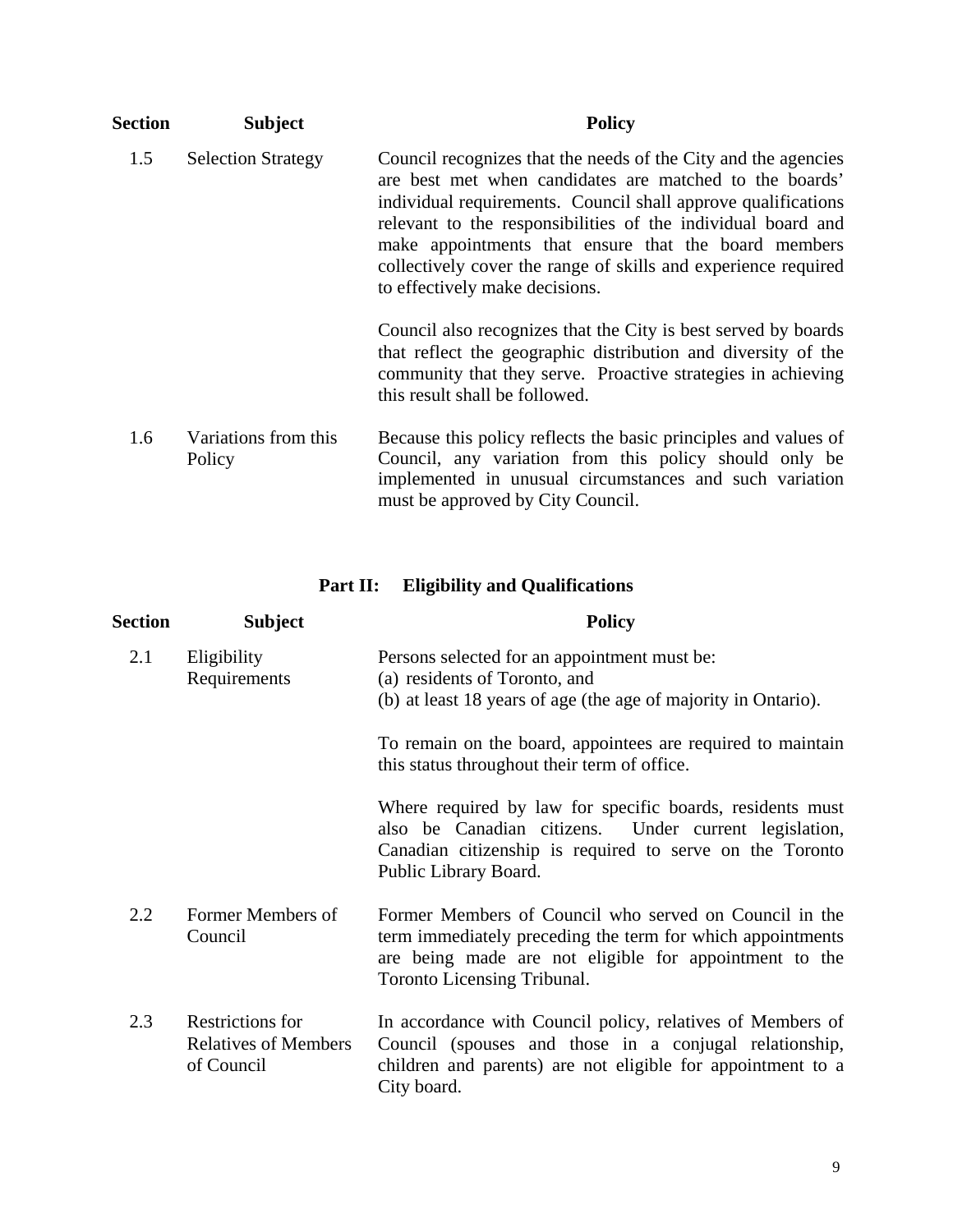| <b>Section</b> | <b>Subject</b>                 | <b>Policy</b>                                                                                                                                                                                                                                                                                                                                                                                                          |
|----------------|--------------------------------|------------------------------------------------------------------------------------------------------------------------------------------------------------------------------------------------------------------------------------------------------------------------------------------------------------------------------------------------------------------------------------------------------------------------|
| 1.5            | <b>Selection Strategy</b>      | Council recognizes that the needs of the City and the agencies<br>are best met when candidates are matched to the boards'<br>individual requirements. Council shall approve qualifications<br>relevant to the responsibilities of the individual board and<br>make appointments that ensure that the board members<br>collectively cover the range of skills and experience required<br>to effectively make decisions. |
|                |                                | Council also recognizes that the City is best served by boards<br>that reflect the geographic distribution and diversity of the<br>community that they serve. Proactive strategies in achieving<br>this result shall be followed.                                                                                                                                                                                      |
| 1.6            | Variations from this<br>Policy | Because this policy reflects the basic principles and values of<br>Council, any variation from this policy should only be<br>implemented in unusual circumstances and such variation<br>must be approved by City Council.                                                                                                                                                                                              |

| Part II: | <b>Eligibility and Qualifications</b> |
|----------|---------------------------------------|
|----------|---------------------------------------|

| <b>Section</b> | <b>Subject</b>                                                | <b>Policy</b>                                                                                                                                                                                                 |
|----------------|---------------------------------------------------------------|---------------------------------------------------------------------------------------------------------------------------------------------------------------------------------------------------------------|
| 2.1            | Eligibility<br>Requirements                                   | Persons selected for an appointment must be:<br>(a) residents of Toronto, and<br>(b) at least 18 years of age (the age of majority in Ontario).                                                               |
|                |                                                               | To remain on the board, appointees are required to maintain<br>this status throughout their term of office.                                                                                                   |
|                |                                                               | Where required by law for specific boards, residents must<br>also be Canadian citizens. Under current legislation,<br>Canadian citizenship is required to serve on the Toronto<br>Public Library Board.       |
| 2.2            | Former Members of<br>Council                                  | Former Members of Council who served on Council in the<br>term immediately preceding the term for which appointments<br>are being made are not eligible for appointment to the<br>Toronto Licensing Tribunal. |
| 2.3            | Restrictions for<br><b>Relatives of Members</b><br>of Council | In accordance with Council policy, relatives of Members of<br>Council (spouses and those in a conjugal relationship,<br>children and parents) are not eligible for appointment to a<br>City board.            |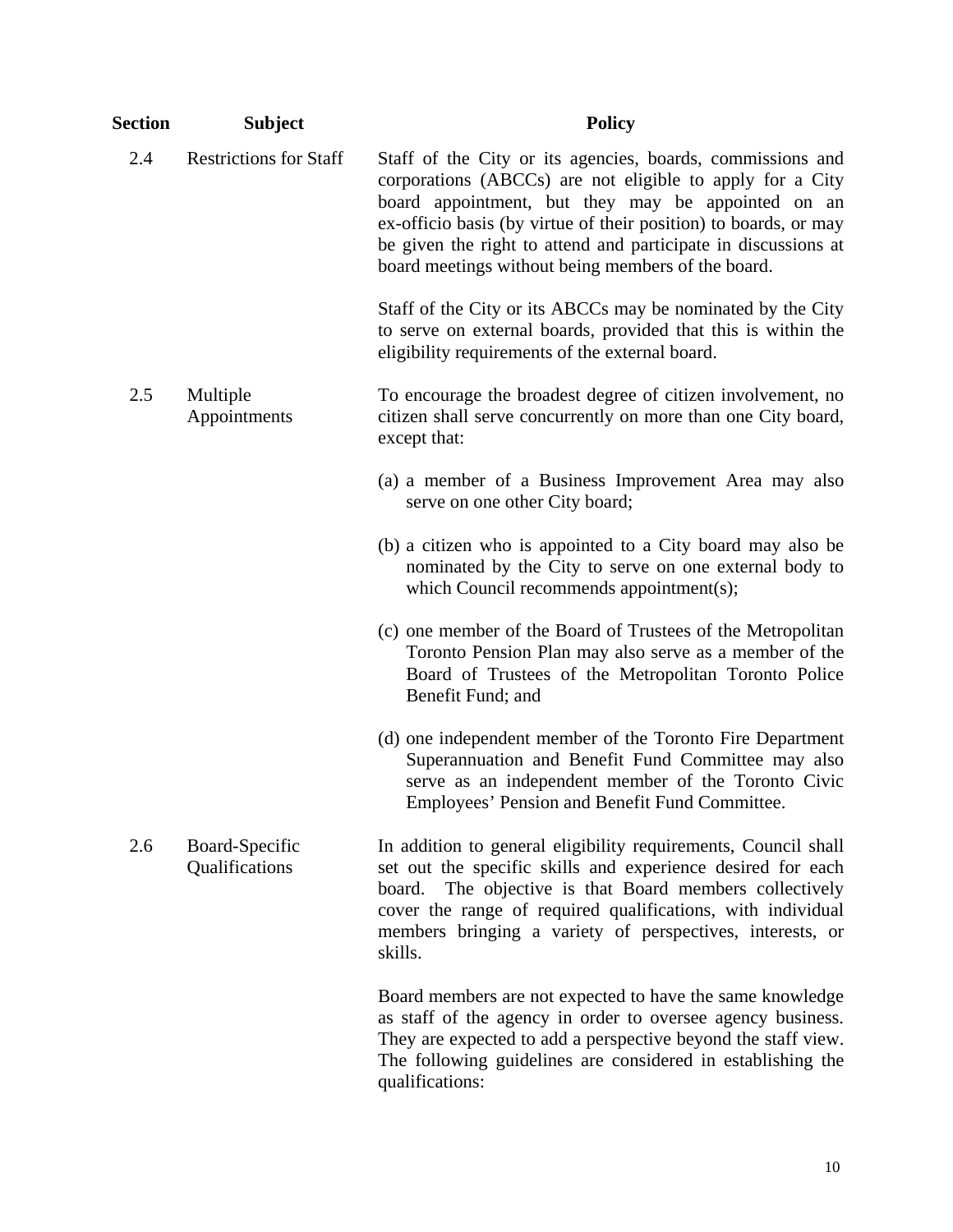| <b>Section</b> | <b>Subject</b>                   | <b>Policy</b>                                                                                                                                                                                                                                                                                                                                                             |
|----------------|----------------------------------|---------------------------------------------------------------------------------------------------------------------------------------------------------------------------------------------------------------------------------------------------------------------------------------------------------------------------------------------------------------------------|
| 2.4            | <b>Restrictions for Staff</b>    | Staff of the City or its agencies, boards, commissions and<br>corporations (ABCCs) are not eligible to apply for a City<br>board appointment, but they may be appointed on an<br>ex-officio basis (by virtue of their position) to boards, or may<br>be given the right to attend and participate in discussions at<br>board meetings without being members of the board. |
|                |                                  | Staff of the City or its ABCCs may be nominated by the City<br>to serve on external boards, provided that this is within the<br>eligibility requirements of the external board.                                                                                                                                                                                           |
| 2.5            | Multiple<br>Appointments         | To encourage the broadest degree of citizen involvement, no<br>citizen shall serve concurrently on more than one City board,<br>except that:                                                                                                                                                                                                                              |
|                |                                  | (a) a member of a Business Improvement Area may also<br>serve on one other City board;                                                                                                                                                                                                                                                                                    |
|                |                                  | (b) a citizen who is appointed to a City board may also be<br>nominated by the City to serve on one external body to<br>which Council recommends appointment(s);                                                                                                                                                                                                          |
|                |                                  | (c) one member of the Board of Trustees of the Metropolitan<br>Toronto Pension Plan may also serve as a member of the<br>Board of Trustees of the Metropolitan Toronto Police<br>Benefit Fund; and                                                                                                                                                                        |
|                |                                  | (d) one independent member of the Toronto Fire Department<br>Superannuation and Benefit Fund Committee may also<br>serve as an independent member of the Toronto Civic<br>Employees' Pension and Benefit Fund Committee.                                                                                                                                                  |
| 2.6            | Board-Specific<br>Qualifications | In addition to general eligibility requirements, Council shall<br>set out the specific skills and experience desired for each<br>The objective is that Board members collectively<br>board.<br>cover the range of required qualifications, with individual<br>members bringing a variety of perspectives, interests, or<br>skills.                                        |
|                |                                  | Board members are not expected to have the same knowledge<br>as staff of the agency in order to oversee agency business.<br>They are expected to add a perspective beyond the staff view.                                                                                                                                                                                 |

qualifications:

The following guidelines are considered in establishing the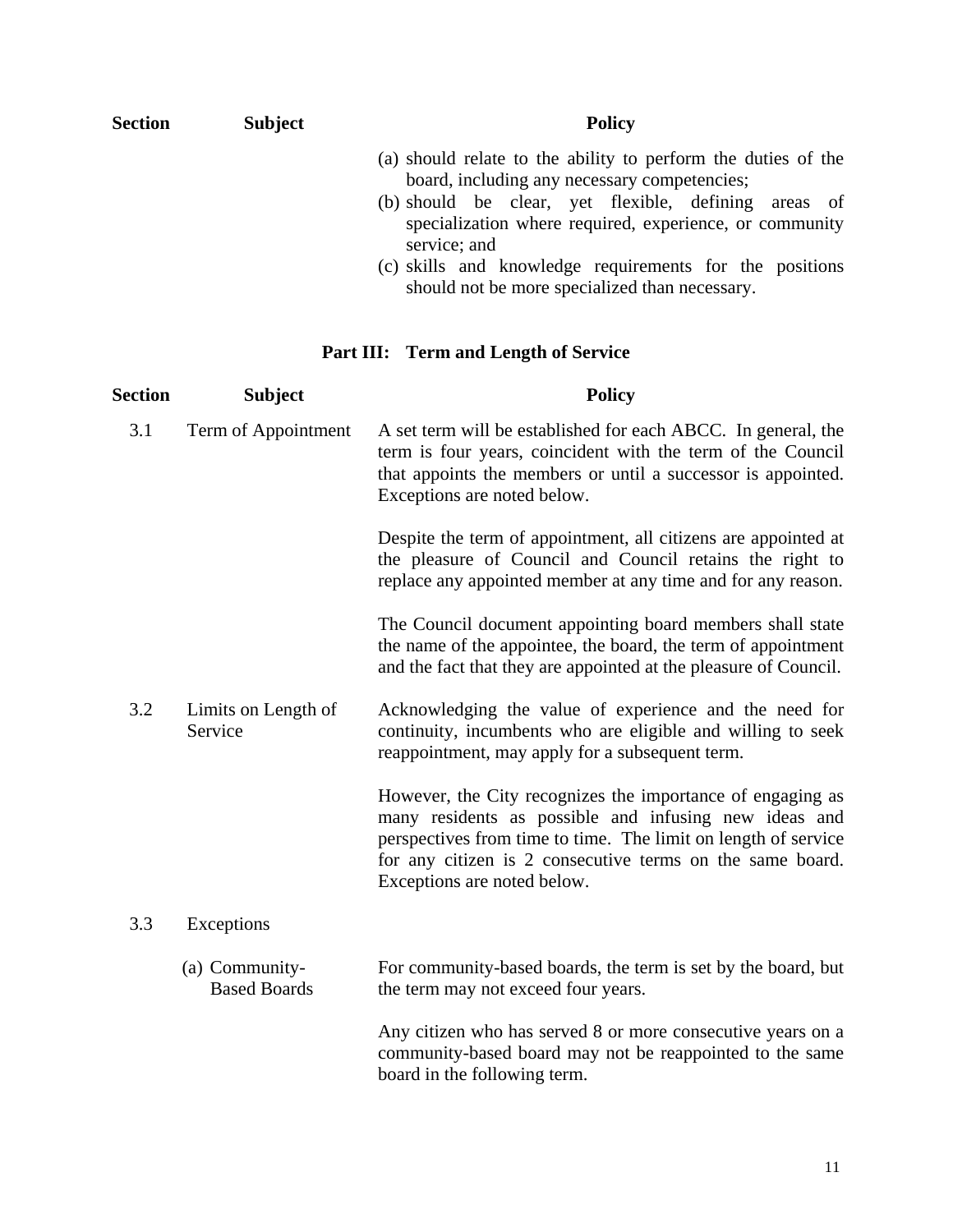| <b>Section</b> | <b>Subject</b> | <b>Policy</b>                                                                                                                                                                                                                                    |
|----------------|----------------|--------------------------------------------------------------------------------------------------------------------------------------------------------------------------------------------------------------------------------------------------|
|                |                | (a) should relate to the ability to perform the duties of the<br>board, including any necessary competencies;<br>(b) should be clear, yet flexible, defining areas of<br>specialization where required, experience, or community<br>service; and |
|                |                | (c) skills and knowledge requirements for the positions<br>should not be more specialized than necessary.                                                                                                                                        |

# **Part III: Term and Length of Service**

| Section | <b>Subject</b>                        | <b>Policy</b>                                                                                                                                                                                                                                                                     |
|---------|---------------------------------------|-----------------------------------------------------------------------------------------------------------------------------------------------------------------------------------------------------------------------------------------------------------------------------------|
| 3.1     | Term of Appointment                   | A set term will be established for each ABCC. In general, the<br>term is four years, coincident with the term of the Council<br>that appoints the members or until a successor is appointed.<br>Exceptions are noted below.                                                       |
|         |                                       | Despite the term of appointment, all citizens are appointed at<br>the pleasure of Council and Council retains the right to<br>replace any appointed member at any time and for any reason.                                                                                        |
|         |                                       | The Council document appointing board members shall state<br>the name of the appointee, the board, the term of appointment<br>and the fact that they are appointed at the pleasure of Council.                                                                                    |
| 3.2     | Limits on Length of<br>Service        | Acknowledging the value of experience and the need for<br>continuity, incumbents who are eligible and willing to seek<br>reappointment, may apply for a subsequent term.                                                                                                          |
|         |                                       | However, the City recognizes the importance of engaging as<br>many residents as possible and infusing new ideas and<br>perspectives from time to time. The limit on length of service<br>for any citizen is 2 consecutive terms on the same board.<br>Exceptions are noted below. |
| 3.3     | Exceptions                            |                                                                                                                                                                                                                                                                                   |
|         | (a) Community-<br><b>Based Boards</b> | For community-based boards, the term is set by the board, but<br>the term may not exceed four years.                                                                                                                                                                              |
|         |                                       | Any citizen who has served 8 or more consecutive years on a<br>community-based board may not be reappointed to the same<br>board in the following term.                                                                                                                           |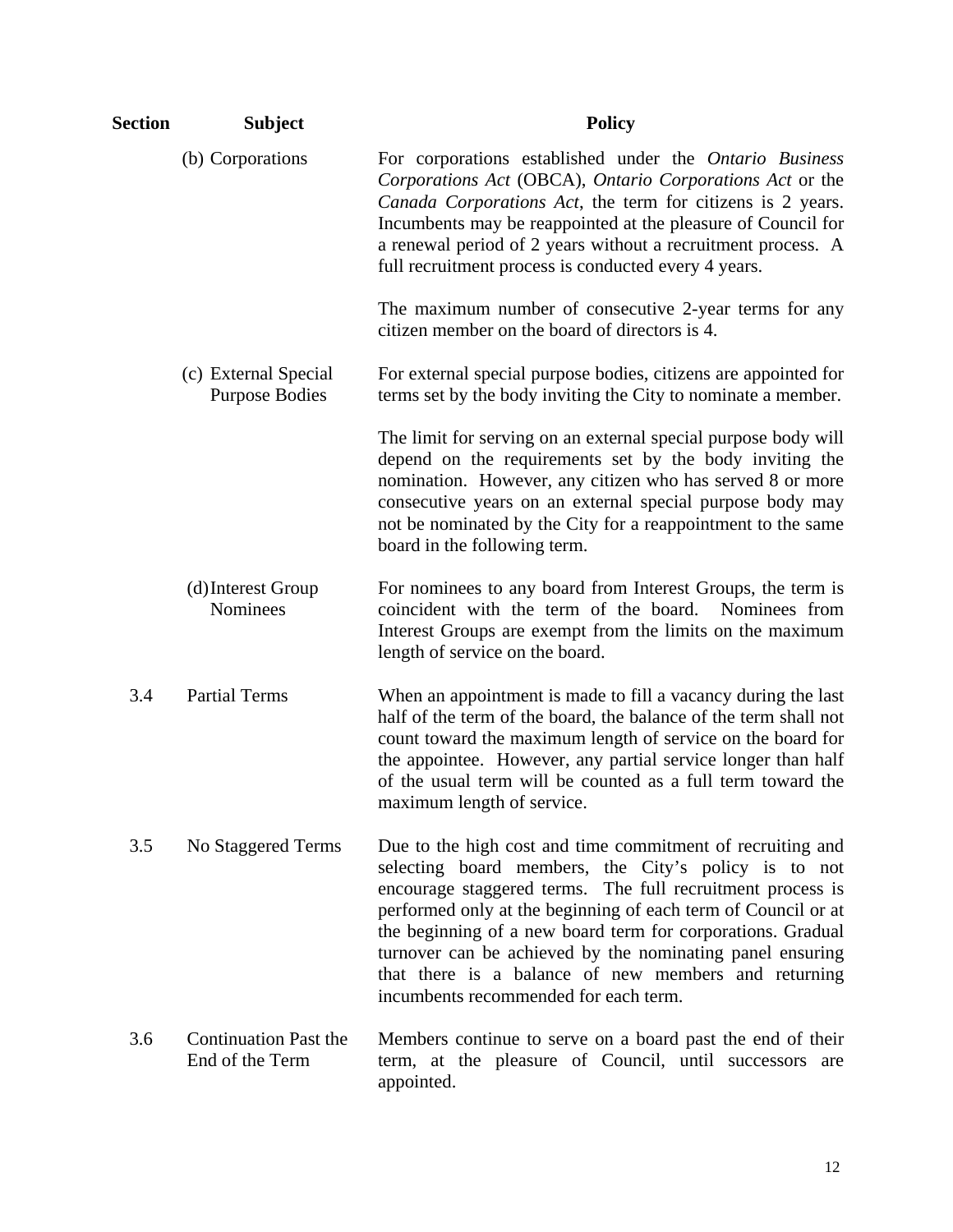| Section | <b>Subject</b>                                  | <b>Policy</b>                                                                                                                                                                                                                                                                                                                                                                                                                                                                  |
|---------|-------------------------------------------------|--------------------------------------------------------------------------------------------------------------------------------------------------------------------------------------------------------------------------------------------------------------------------------------------------------------------------------------------------------------------------------------------------------------------------------------------------------------------------------|
|         | (b) Corporations                                | For corporations established under the Ontario Business<br>Corporations Act (OBCA), Ontario Corporations Act or the<br>Canada Corporations Act, the term for citizens is 2 years.<br>Incumbents may be reappointed at the pleasure of Council for<br>a renewal period of 2 years without a recruitment process. A<br>full recruitment process is conducted every 4 years.                                                                                                      |
|         |                                                 | The maximum number of consecutive 2-year terms for any<br>citizen member on the board of directors is 4.                                                                                                                                                                                                                                                                                                                                                                       |
|         | (c) External Special<br><b>Purpose Bodies</b>   | For external special purpose bodies, citizens are appointed for<br>terms set by the body inviting the City to nominate a member.                                                                                                                                                                                                                                                                                                                                               |
|         |                                                 | The limit for serving on an external special purpose body will<br>depend on the requirements set by the body inviting the<br>nomination. However, any citizen who has served 8 or more<br>consecutive years on an external special purpose body may<br>not be nominated by the City for a reappointment to the same<br>board in the following term.                                                                                                                            |
|         | (d) Interest Group<br>Nominees                  | For nominees to any board from Interest Groups, the term is<br>coincident with the term of the board.<br>Nominees from<br>Interest Groups are exempt from the limits on the maximum<br>length of service on the board.                                                                                                                                                                                                                                                         |
| 3.4     | <b>Partial Terms</b>                            | When an appointment is made to fill a vacancy during the last<br>half of the term of the board, the balance of the term shall not<br>count toward the maximum length of service on the board for<br>the appointee. However, any partial service longer than half<br>of the usual term will be counted as a full term toward the<br>maximum length of service.                                                                                                                  |
| 3.5     | No Staggered Terms                              | Due to the high cost and time commitment of recruiting and<br>selecting board members, the City's policy is to not<br>encourage staggered terms. The full recruitment process is<br>performed only at the beginning of each term of Council or at<br>the beginning of a new board term for corporations. Gradual<br>turnover can be achieved by the nominating panel ensuring<br>that there is a balance of new members and returning<br>incumbents recommended for each term. |
| 3.6     | <b>Continuation Past the</b><br>End of the Term | Members continue to serve on a board past the end of their<br>term, at the pleasure of Council, until successors are<br>appointed.                                                                                                                                                                                                                                                                                                                                             |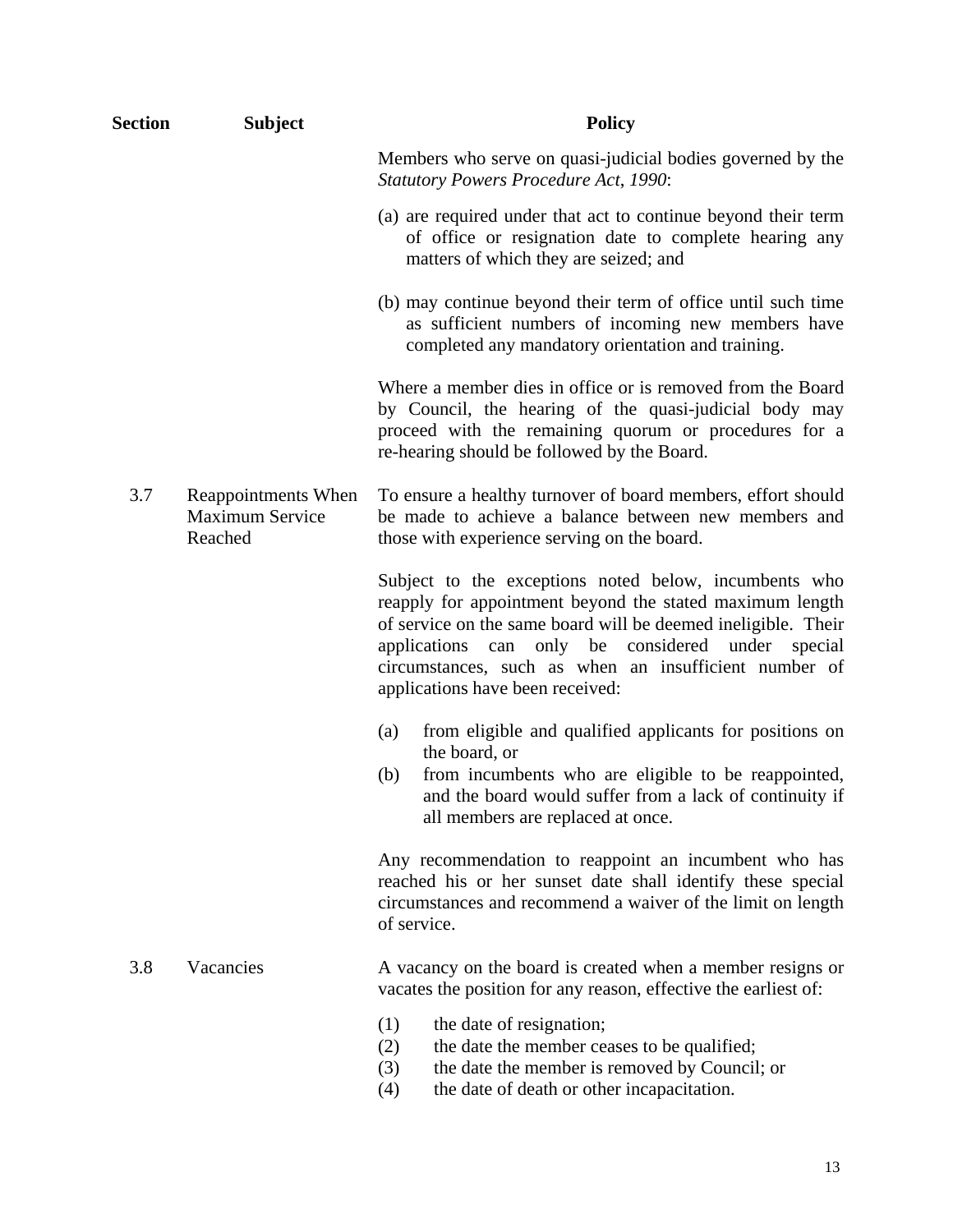| <b>Section</b> | <b>Subject</b>                                    | <b>Policy</b>                                                                                                                                                                                                                                                                                                                           |
|----------------|---------------------------------------------------|-----------------------------------------------------------------------------------------------------------------------------------------------------------------------------------------------------------------------------------------------------------------------------------------------------------------------------------------|
|                |                                                   | Members who serve on quasi-judicial bodies governed by the<br><b>Statutory Powers Procedure Act, 1990:</b>                                                                                                                                                                                                                              |
|                |                                                   | (a) are required under that act to continue beyond their term<br>of office or resignation date to complete hearing any<br>matters of which they are seized; and                                                                                                                                                                         |
|                |                                                   | (b) may continue beyond their term of office until such time<br>as sufficient numbers of incoming new members have<br>completed any mandatory orientation and training.                                                                                                                                                                 |
|                |                                                   | Where a member dies in office or is removed from the Board<br>by Council, the hearing of the quasi-judicial body may<br>proceed with the remaining quorum or procedures for a<br>re-hearing should be followed by the Board.                                                                                                            |
| 3.7            | Reappointments When<br>Maximum Service<br>Reached | To ensure a healthy turnover of board members, effort should<br>be made to achieve a balance between new members and<br>those with experience serving on the board.                                                                                                                                                                     |
|                |                                                   | Subject to the exceptions noted below, incumbents who<br>reapply for appointment beyond the stated maximum length<br>of service on the same board will be deemed ineligible. Their<br>only be considered under special<br>applications can<br>circumstances, such as when an insufficient number of<br>applications have been received: |
|                |                                                   | from eligible and qualified applicants for positions on<br>(a)<br>the board, or<br>from incumbents who are eligible to be reappointed,<br>(b)<br>and the board would suffer from a lack of continuity if<br>all members are replaced at once.                                                                                           |
|                |                                                   | Any recommendation to reappoint an incumbent who has<br>reached his or her sunset date shall identify these special<br>circumstances and recommend a waiver of the limit on length<br>of service.                                                                                                                                       |
| 3.8            | Vacancies                                         | A vacancy on the board is created when a member resigns or<br>vacates the position for any reason, effective the earliest of:                                                                                                                                                                                                           |
|                |                                                   | (1)<br>the date of resignation;<br>the date the member ceases to be qualified;<br>(2)<br>the date the member is removed by Council; or<br>(3)<br>the date of death or other incapacitation.<br>(4)                                                                                                                                      |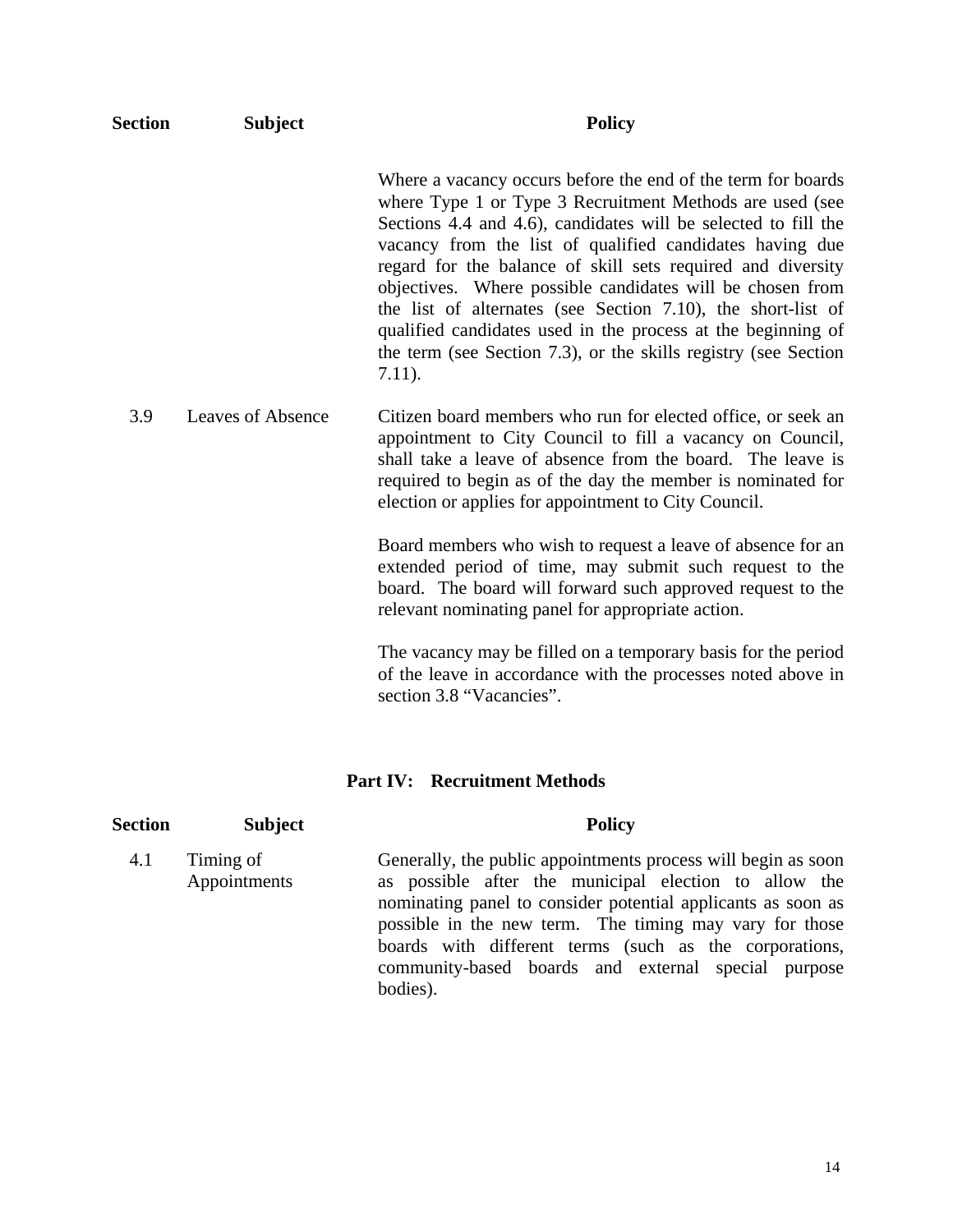| <b>Section</b> | <b>Subject</b>           | <b>Policy</b>                                                                                                                                                                                                                                                                                                                                                                                                                                                                                                                                                                                      |
|----------------|--------------------------|----------------------------------------------------------------------------------------------------------------------------------------------------------------------------------------------------------------------------------------------------------------------------------------------------------------------------------------------------------------------------------------------------------------------------------------------------------------------------------------------------------------------------------------------------------------------------------------------------|
|                |                          | Where a vacancy occurs before the end of the term for boards<br>where Type 1 or Type 3 Recruitment Methods are used (see<br>Sections 4.4 and 4.6), candidates will be selected to fill the<br>vacancy from the list of qualified candidates having due<br>regard for the balance of skill sets required and diversity<br>objectives. Where possible candidates will be chosen from<br>the list of alternates (see Section 7.10), the short-list of<br>qualified candidates used in the process at the beginning of<br>the term (see Section 7.3), or the skills registry (see Section<br>$7.11$ ). |
| 3.9            | <b>Leaves of Absence</b> | Citizen board members who run for elected office, or seek an<br>appointment to City Council to fill a vacancy on Council,<br>shall take a leave of absence from the board. The leave is<br>required to begin as of the day the member is nominated for<br>election or applies for appointment to City Council.                                                                                                                                                                                                                                                                                     |
|                |                          | Board members who wish to request a leave of absence for an<br>extended period of time, may submit such request to the<br>board. The board will forward such approved request to the<br>relevant nominating panel for appropriate action.                                                                                                                                                                                                                                                                                                                                                          |
|                |                          | The vacancy may be filled on a temporary basis for the period<br>of the leave in accordance with the processes noted above in<br>section 3.8 "Vacancies".                                                                                                                                                                                                                                                                                                                                                                                                                                          |

#### **Part IV: Recruitment Methods**

| <b>Section</b> | <b>Subject</b>            | <b>Policy</b>                                                                                                                                                                                                                                                                                                                                                                  |
|----------------|---------------------------|--------------------------------------------------------------------------------------------------------------------------------------------------------------------------------------------------------------------------------------------------------------------------------------------------------------------------------------------------------------------------------|
| 4.1            | Timing of<br>Appointments | Generally, the public appointments process will begin as soon<br>as possible after the municipal election to allow the<br>nominating panel to consider potential applicants as soon as<br>possible in the new term. The timing may vary for those<br>boards with different terms (such as the corporations,<br>community-based boards and external special purpose<br>bodies). |
|                |                           |                                                                                                                                                                                                                                                                                                                                                                                |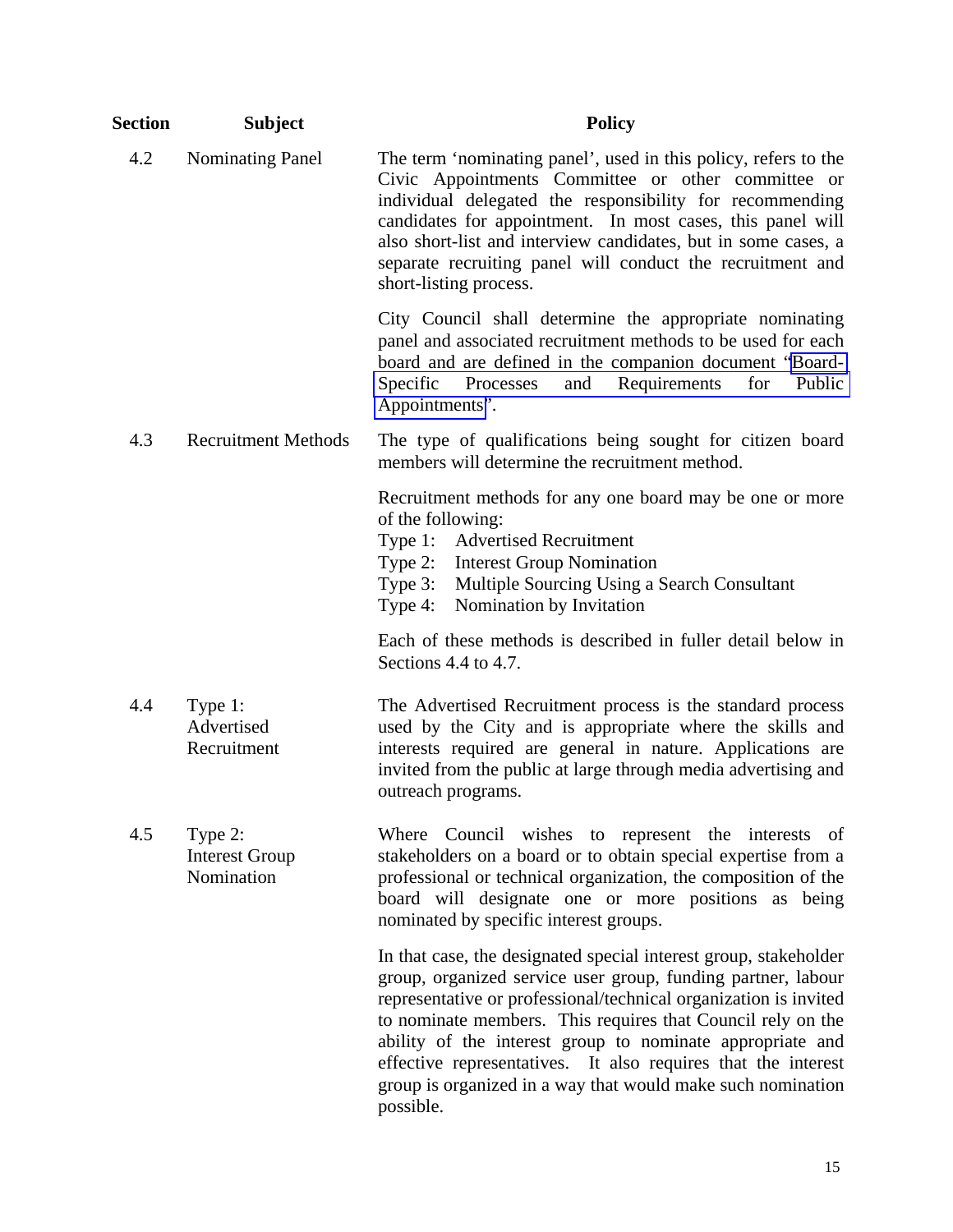| Section | <b>Subject</b>                                 | <b>Policy</b>                                                                                                                                                                                                                                                                                                                                                                                                                                                                 |
|---------|------------------------------------------------|-------------------------------------------------------------------------------------------------------------------------------------------------------------------------------------------------------------------------------------------------------------------------------------------------------------------------------------------------------------------------------------------------------------------------------------------------------------------------------|
| 4.2     | <b>Nominating Panel</b>                        | The term 'nominating panel', used in this policy, refers to the<br>Civic Appointments Committee or other committee or<br>individual delegated the responsibility for recommending<br>candidates for appointment. In most cases, this panel will<br>also short-list and interview candidates, but in some cases, a<br>separate recruiting panel will conduct the recruitment and<br>short-listing process.                                                                     |
|         |                                                | City Council shall determine the appropriate nominating<br>panel and associated recruitment methods to be used for each<br>board and are defined in the companion document "Board-<br>Requirements<br>Specific<br>for<br>Public<br>Processes<br>and<br>Appointments".                                                                                                                                                                                                         |
| 4.3     | <b>Recruitment Methods</b>                     | The type of qualifications being sought for citizen board<br>members will determine the recruitment method.                                                                                                                                                                                                                                                                                                                                                                   |
|         |                                                | Recruitment methods for any one board may be one or more<br>of the following:<br>Type 1: Advertised Recruitment<br><b>Interest Group Nomination</b><br>Type $2$ :<br>Type 3:<br>Multiple Sourcing Using a Search Consultant<br>Nomination by Invitation<br>Type 4:                                                                                                                                                                                                            |
|         |                                                | Each of these methods is described in fuller detail below in<br>Sections $4.4$ to $4.7$ .                                                                                                                                                                                                                                                                                                                                                                                     |
| 4.4     | Type 1:<br>Advertised<br>Recruitment           | The Advertised Recruitment process is the standard process<br>used by the City and is appropriate where the skills and<br>interests required are general in nature. Applications are<br>invited from the public at large through media advertising and<br>outreach programs.                                                                                                                                                                                                  |
| 4.5     | Type 2:<br><b>Interest Group</b><br>Nomination | Where Council wishes to represent the interests<br>- of<br>stakeholders on a board or to obtain special expertise from a<br>professional or technical organization, the composition of the<br>board will designate one or more positions as being<br>nominated by specific interest groups.                                                                                                                                                                                   |
|         |                                                | In that case, the designated special interest group, stakeholder<br>group, organized service user group, funding partner, labour<br>representative or professional/technical organization is invited<br>to nominate members. This requires that Council rely on the<br>ability of the interest group to nominate appropriate and<br>effective representatives. It also requires that the interest<br>group is organized in a way that would make such nomination<br>possible. |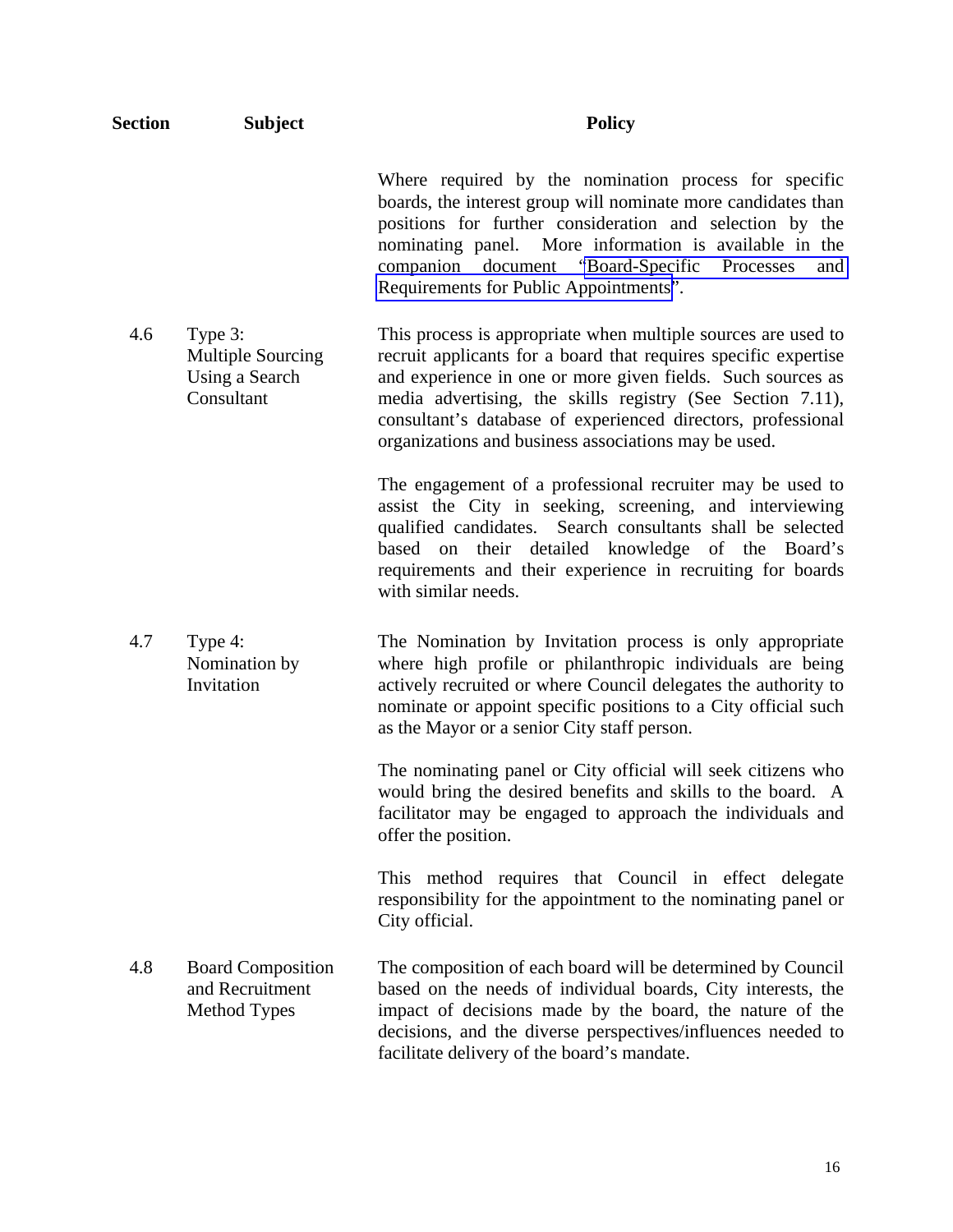| <b>Section</b> | <b>Subject</b>                                                      | <b>Policy</b>                                                                                                                                                                                                                                                                                                                                                                         |
|----------------|---------------------------------------------------------------------|---------------------------------------------------------------------------------------------------------------------------------------------------------------------------------------------------------------------------------------------------------------------------------------------------------------------------------------------------------------------------------------|
|                |                                                                     | Where required by the nomination process for specific<br>boards, the interest group will nominate more candidates than<br>positions for further consideration and selection by the<br>nominating panel. More information is available in the<br>companion document "Board-Specific<br>Processes<br>and<br>Requirements for Public Appointments".                                      |
| 4.6            | Type 3:<br><b>Multiple Sourcing</b><br>Using a Search<br>Consultant | This process is appropriate when multiple sources are used to<br>recruit applicants for a board that requires specific expertise<br>and experience in one or more given fields. Such sources as<br>media advertising, the skills registry (See Section 7.11),<br>consultant's database of experienced directors, professional<br>organizations and business associations may be used. |
|                |                                                                     | The engagement of a professional recruiter may be used to<br>assist the City in seeking, screening, and interviewing<br>qualified candidates. Search consultants shall be selected<br>based on their detailed knowledge of the Board's<br>requirements and their experience in recruiting for boards<br>with similar needs.                                                           |
| 4.7            | Type 4:<br>Nomination by<br>Invitation                              | The Nomination by Invitation process is only appropriate<br>where high profile or philanthropic individuals are being<br>actively recruited or where Council delegates the authority to<br>nominate or appoint specific positions to a City official such<br>as the Mayor or a senior City staff person.                                                                              |
|                |                                                                     | The nominating panel or City official will seek citizens who<br>would bring the desired benefits and skills to the board. A<br>facilitator may be engaged to approach the individuals and<br>offer the position.                                                                                                                                                                      |
|                |                                                                     | This method requires that Council in effect delegate<br>responsibility for the appointment to the nominating panel or<br>City official.                                                                                                                                                                                                                                               |
| 4.8            | <b>Board Composition</b><br>and Recruitment<br><b>Method Types</b>  | The composition of each board will be determined by Council<br>based on the needs of individual boards, City interests, the<br>impact of decisions made by the board, the nature of the<br>decisions, and the diverse perspectives/influences needed to<br>facilitate delivery of the board's mandate.                                                                                |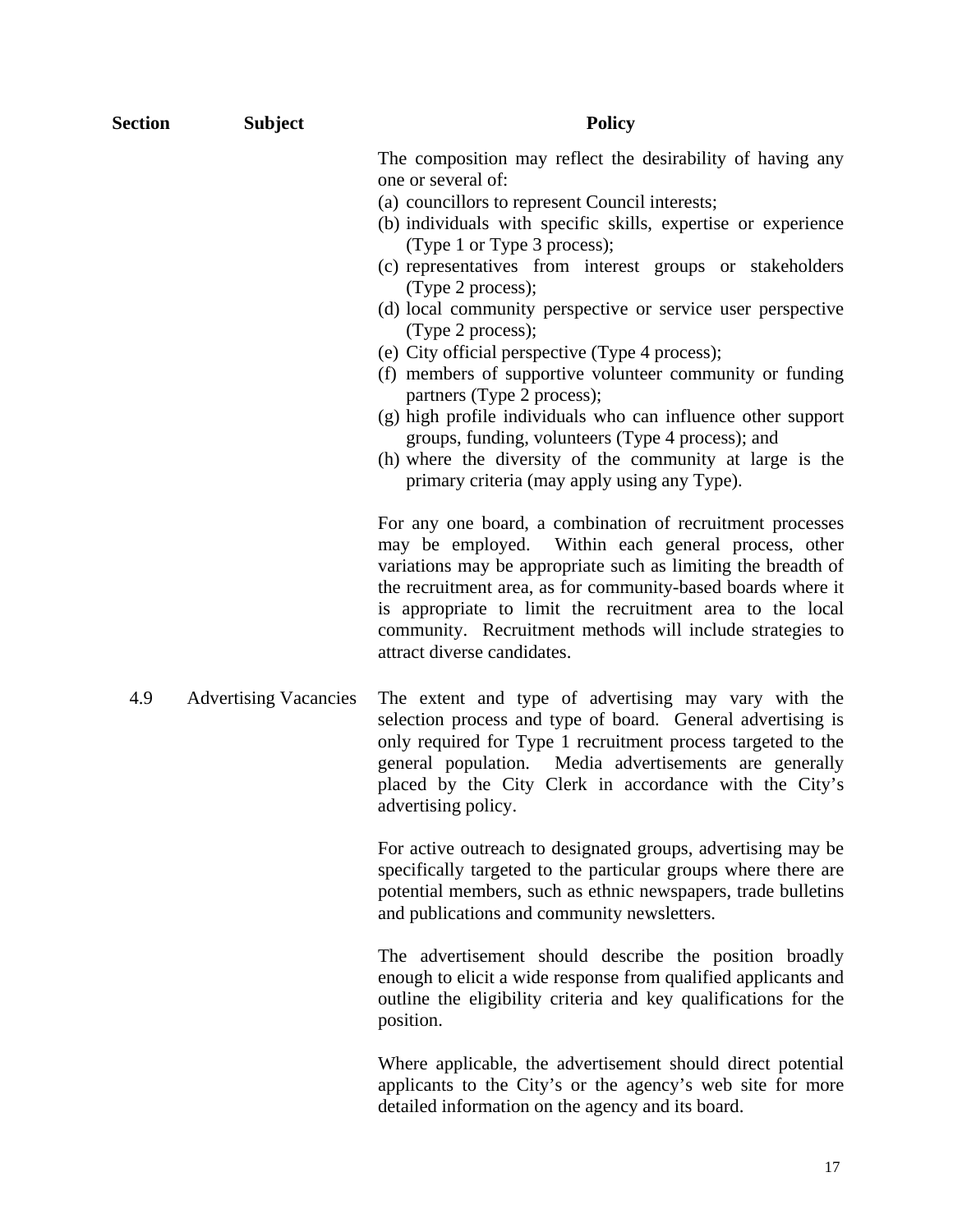| <b>Section</b> | <b>Subject</b>               | <b>Policy</b>                                                                                                                                                                                                                                                                                                                                                                                                                                                                                                                                                                                                                                                                                                                                                                          |
|----------------|------------------------------|----------------------------------------------------------------------------------------------------------------------------------------------------------------------------------------------------------------------------------------------------------------------------------------------------------------------------------------------------------------------------------------------------------------------------------------------------------------------------------------------------------------------------------------------------------------------------------------------------------------------------------------------------------------------------------------------------------------------------------------------------------------------------------------|
|                |                              | The composition may reflect the desirability of having any<br>one or several of:<br>(a) councillors to represent Council interests;<br>(b) individuals with specific skills, expertise or experience<br>(Type 1 or Type 3 process);<br>(c) representatives from interest groups or stakeholders<br>(Type 2 process);<br>(d) local community perspective or service user perspective<br>(Type 2 process);<br>(e) City official perspective (Type 4 process);<br>(f) members of supportive volunteer community or funding<br>partners (Type 2 process);<br>(g) high profile individuals who can influence other support<br>groups, funding, volunteers (Type 4 process); and<br>(h) where the diversity of the community at large is the<br>primary criteria (may apply using any Type). |
|                |                              | For any one board, a combination of recruitment processes<br>may be employed. Within each general process, other<br>variations may be appropriate such as limiting the breadth of<br>the recruitment area, as for community-based boards where it<br>is appropriate to limit the recruitment area to the local<br>community. Recruitment methods will include strategies to<br>attract diverse candidates.                                                                                                                                                                                                                                                                                                                                                                             |
| 4.9            | <b>Advertising Vacancies</b> | The extent and type of advertising may vary with the<br>selection process and type of board. General advertising is<br>only required for Type 1 recruitment process targeted to the<br>general population. Media advertisements are generally<br>placed by the City Clerk in accordance with the City's<br>advertising policy.                                                                                                                                                                                                                                                                                                                                                                                                                                                         |
|                |                              | For active outreach to designated groups, advertising may be<br>specifically targeted to the particular groups where there are<br>potential members, such as ethnic newspapers, trade bulletins                                                                                                                                                                                                                                                                                                                                                                                                                                                                                                                                                                                        |

The advertisement should describe the position broadly enough to elicit a wide response from qualified applicants and outline the eligibility criteria and key qualifications for the position.

and publications and community newsletters.

Where applicable, the advertisement should direct potential applicants to the City's or the agency's web site for more detailed information on the agency and its board.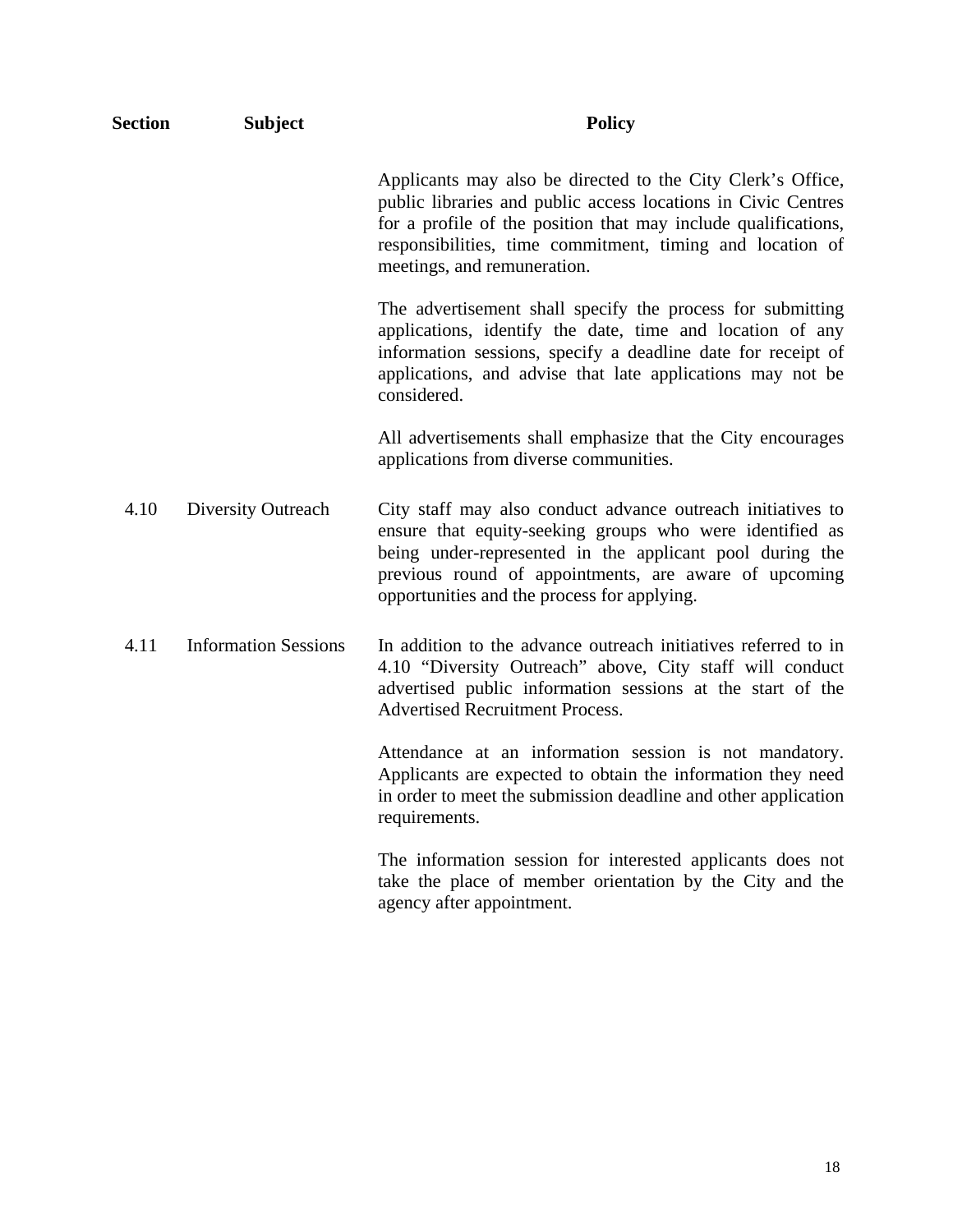| <b>Section</b> | <b>Subject</b>              | <b>Policy</b>                                                                                                                                                                                                                                                                               |
|----------------|-----------------------------|---------------------------------------------------------------------------------------------------------------------------------------------------------------------------------------------------------------------------------------------------------------------------------------------|
|                |                             | Applicants may also be directed to the City Clerk's Office,<br>public libraries and public access locations in Civic Centres<br>for a profile of the position that may include qualifications,<br>responsibilities, time commitment, timing and location of<br>meetings, and remuneration.  |
|                |                             | The advertisement shall specify the process for submitting<br>applications, identify the date, time and location of any<br>information sessions, specify a deadline date for receipt of<br>applications, and advise that late applications may not be<br>considered.                        |
|                |                             | All advertisements shall emphasize that the City encourages<br>applications from diverse communities.                                                                                                                                                                                       |
| 4.10           | Diversity Outreach          | City staff may also conduct advance outreach initiatives to<br>ensure that equity-seeking groups who were identified as<br>being under-represented in the applicant pool during the<br>previous round of appointments, are aware of upcoming<br>opportunities and the process for applying. |
| 4.11           | <b>Information Sessions</b> | In addition to the advance outreach initiatives referred to in<br>4.10 "Diversity Outreach" above, City staff will conduct<br>advertised public information sessions at the start of the<br><b>Advertised Recruitment Process.</b>                                                          |
|                |                             | Attendance at an information session is not mandatory.<br>Applicants are expected to obtain the information they need<br>in order to meet the submission deadline and other application<br>requirements.                                                                                    |
|                |                             | The information session for interested applicants does not<br>take the place of member orientation by the City and the<br>agency after appointment.                                                                                                                                         |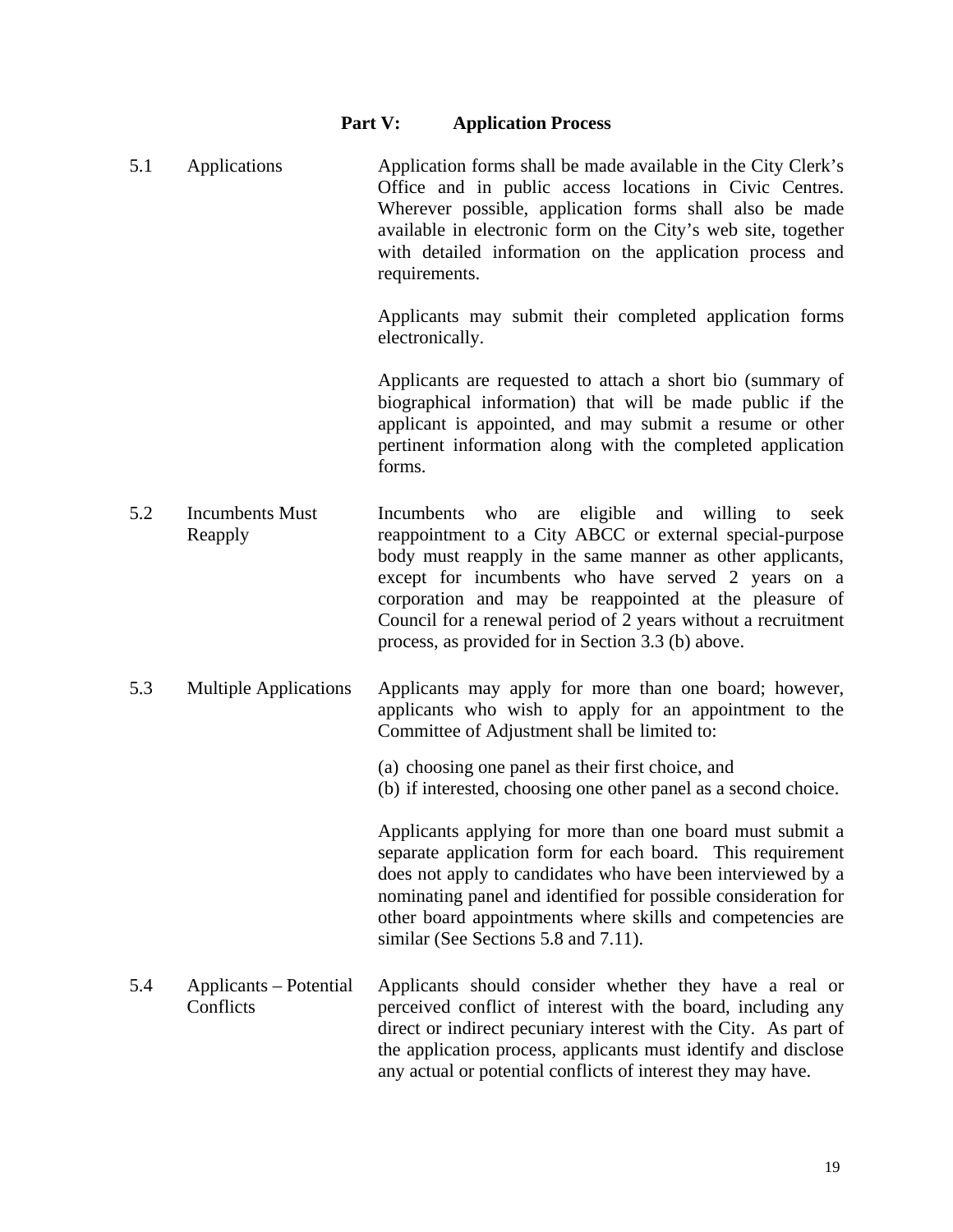#### **Part V: Application Process**

5.1 Applications Application forms shall be made available in the City Clerk's Office and in public access locations in Civic Centres. Wherever possible, application forms shall also be made available in electronic form on the City's web site, together with detailed information on the application process and requirements.

> Applicants may submit their completed application forms electronically.

> Applicants are requested to attach a short bio (summary of biographical information) that will be made public if the applicant is appointed, and may submit a resume or other pertinent information along with the completed application forms.

- 5.2 Incumbents Must Reapply Incumbents who are eligible and willing to seek reappointment to a City ABCC or external special-purpose body must reapply in the same manner as other applicants, except for incumbents who have served 2 years on a corporation and may be reappointed at the pleasure of Council for a renewal period of 2 years without a recruitment process, as provided for in Section 3.3 (b) above.
- 5.3 Multiple Applications Applicants may apply for more than one board; however, applicants who wish to apply for an appointment to the Committee of Adjustment shall be limited to:
	- (a) choosing one panel as their first choice, and
	- (b) if interested, choosing one other panel as a second choice.

Applicants applying for more than one board must submit a separate application form for each board. This requirement does not apply to candidates who have been interviewed by a nominating panel and identified for possible consideration for other board appointments where skills and competencies are similar (See Sections 5.8 and 7.11).

5.4 Applicants – Potential **Conflicts** Applicants should consider whether they have a real or perceived conflict of interest with the board, including any direct or indirect pecuniary interest with the City. As part of the application process, applicants must identify and disclose any actual or potential conflicts of interest they may have.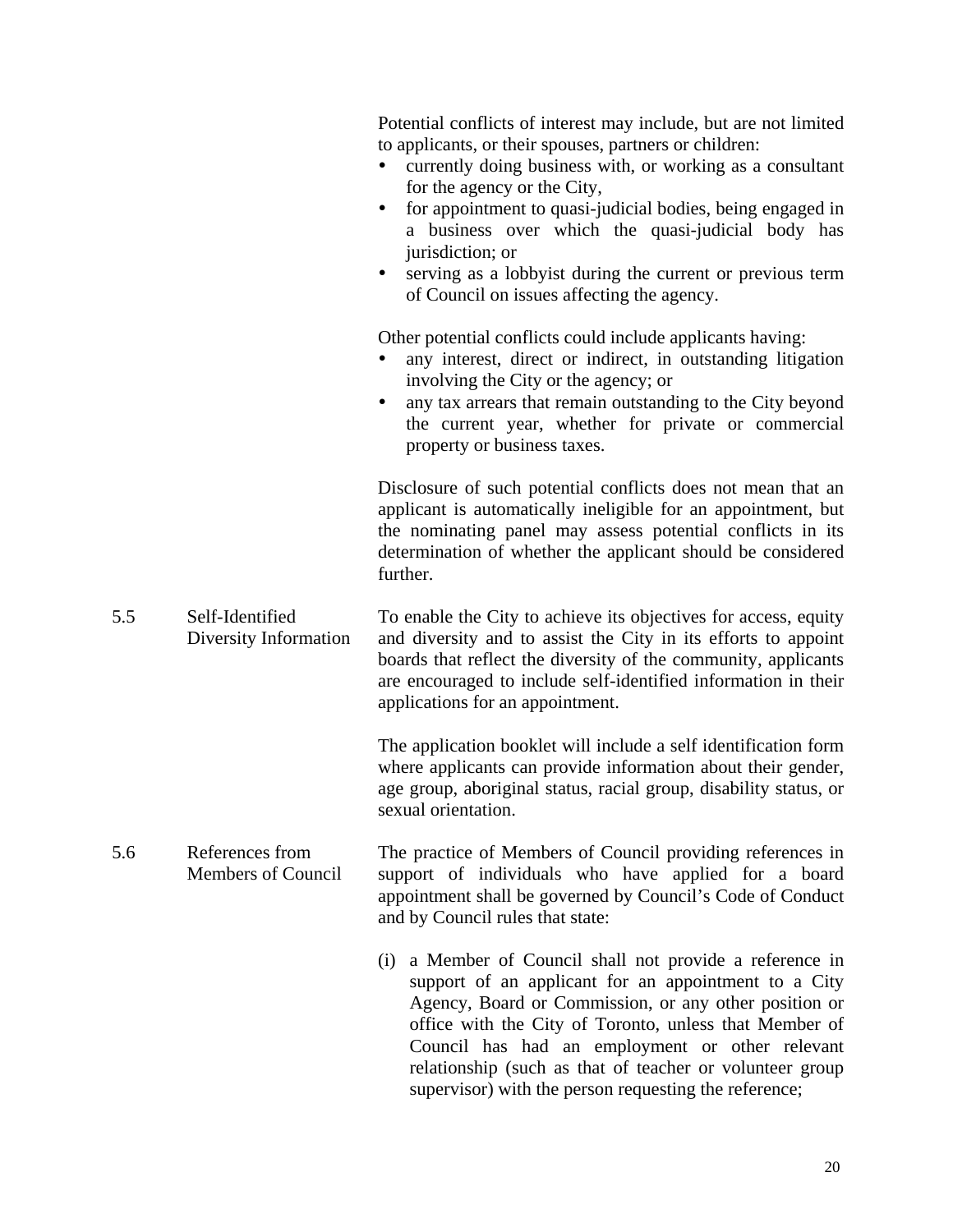|     |                                              | Potential conflicts of interest may include, but are not limited<br>to applicants, or their spouses, partners or children:<br>currently doing business with, or working as a consultant<br>$\bullet$<br>for the agency or the City,<br>for appointment to quasi-judicial bodies, being engaged in<br>$\bullet$<br>a business over which the quasi-judicial body has<br>jurisdiction; or<br>serving as a lobbyist during the current or previous term<br>$\bullet$<br>of Council on issues affecting the agency. |
|-----|----------------------------------------------|-----------------------------------------------------------------------------------------------------------------------------------------------------------------------------------------------------------------------------------------------------------------------------------------------------------------------------------------------------------------------------------------------------------------------------------------------------------------------------------------------------------------|
|     |                                              | Other potential conflicts could include applicants having:<br>any interest, direct or indirect, in outstanding litigation<br>involving the City or the agency; or<br>any tax arrears that remain outstanding to the City beyond<br>the current year, whether for private or commercial<br>property or business taxes.                                                                                                                                                                                           |
|     |                                              | Disclosure of such potential conflicts does not mean that an<br>applicant is automatically ineligible for an appointment, but<br>the nominating panel may assess potential conflicts in its<br>determination of whether the applicant should be considered<br>further.                                                                                                                                                                                                                                          |
| 5.5 | Self-Identified<br>Diversity Information     | To enable the City to achieve its objectives for access, equity<br>and diversity and to assist the City in its efforts to appoint<br>boards that reflect the diversity of the community, applicants<br>are encouraged to include self-identified information in their<br>applications for an appointment.                                                                                                                                                                                                       |
|     |                                              | The application booklet will include a self identification form<br>where applicants can provide information about their gender,<br>age group, aboriginal status, racial group, disability status, or<br>sexual orientation.                                                                                                                                                                                                                                                                                     |
| 5.6 | References from<br><b>Members of Council</b> | The practice of Members of Council providing references in<br>support of individuals who have applied for a board<br>appointment shall be governed by Council's Code of Conduct<br>and by Council rules that state:                                                                                                                                                                                                                                                                                             |
|     |                                              | a Member of Council shall not provide a reference in<br>(i)<br>support of an applicant for an appointment to a City<br>Agency, Board or Commission, or any other position or<br>office with the City of Toronto, unless that Member of<br>Council has had an employment or other relevant<br>relationship (such as that of teacher or volunteer group<br>supervisor) with the person requesting the reference;                                                                                                  |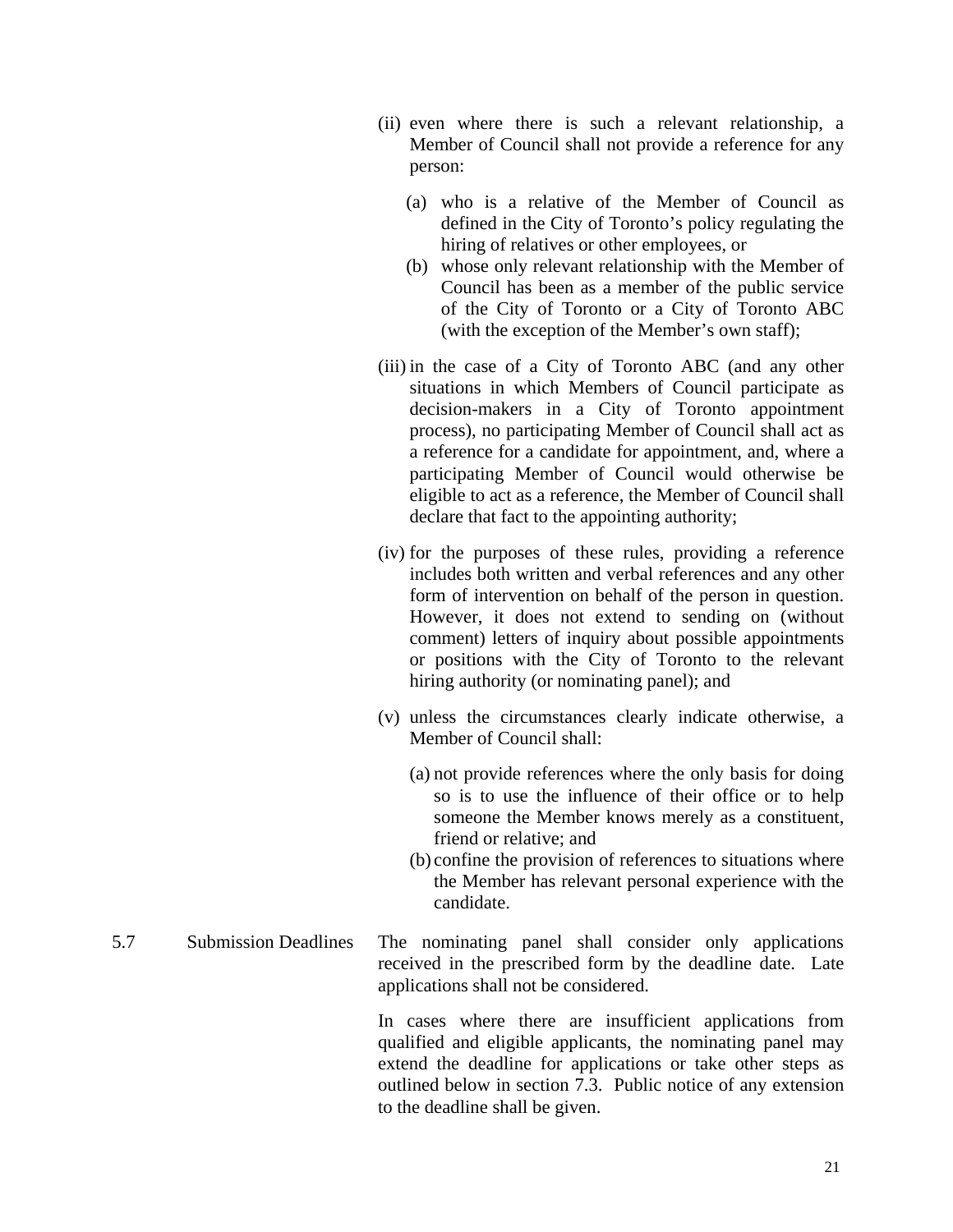- (ii) even where there is such a relevant relationship, a Member of Council shall not provide a reference for any person:
	- (a) who is a relative of the Member of Council as defined in the City of Toronto's policy regulating the hiring of relatives or other employees, or
	- (b) whose only relevant relationship with the Member of Council has been as a member of the public service of the City of Toronto or a City of Toronto ABC (with the exception of the Member's own staff);
- (iii) in the case of a City of Toronto ABC (and any other situations in which Members of Council participate as decision-makers in a City of Toronto appointment process), no participating Member of Council shall act as a reference for a candidate for appointment, and, where a participating Member of Council would otherwise be eligible to act as a reference, the Member of Council shall declare that fact to the appointing authority;
- (iv) for the purposes of these rules, providing a reference includes both written and verbal references and any other form of intervention on behalf of the person in question. However, it does not extend to sending on (without comment) letters of inquiry about possible appointments or positions with the City of Toronto to the relevant hiring authority (or nominating panel); and
- (v) unless the circumstances clearly indicate otherwise, a Member of Council shall:
	- (a) not provide references where the only basis for doing so is to use the influence of their office or to help someone the Member knows merely as a constituent, friend or relative; and
	- (b) confine the provision of references to situations where the Member has relevant personal experience with the candidate.
- 5.7 Submission Deadlines The nominating panel shall consider only applications received in the prescribed form by the deadline date. Late applications shall not be considered.

In cases where there are insufficient applications from qualified and eligible applicants, the nominating panel may extend the deadline for applications or take other steps as outlined below in section 7.3. Public notice of any extension to the deadline shall be given.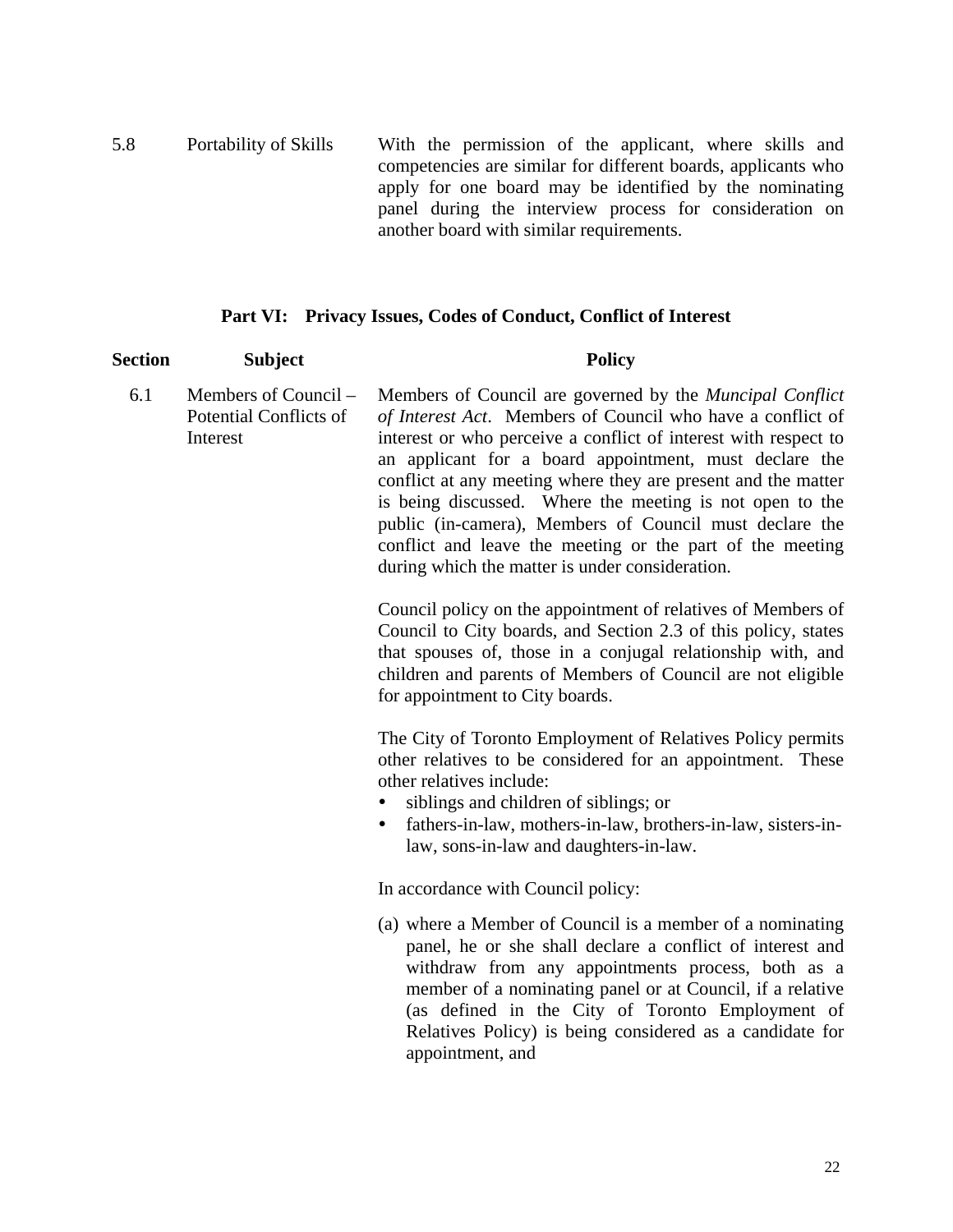5.8 Portability of Skills With the permission of the applicant, where skills and competencies are similar for different boards, applicants who apply for one board may be identified by the nominating panel during the interview process for consideration on another board with similar requirements.

#### **Part VI: Privacy Issues, Codes of Conduct, Conflict of Interest**

#### Section Subject Policy

6.1 Members of Council – Potential Conflicts of Interest Members of Council are governed by the *Muncipal Conflict of Interest Act*. Members of Council who have a conflict of interest or who perceive a conflict of interest with respect to an applicant for a board appointment, must declare the conflict at any meeting where they are present and the matter is being discussed. Where the meeting is not open to the public (in-camera), Members of Council must declare the conflict and leave the meeting or the part of the meeting during which the matter is under consideration.

> Council policy on the appointment of relatives of Members of Council to City boards, and Section 2.3 of this policy, states that spouses of, those in a conjugal relationship with, and children and parents of Members of Council are not eligible for appointment to City boards.

> The City of Toronto Employment of Relatives Policy permits other relatives to be considered for an appointment. These other relatives include:

- siblings and children of siblings; or
- fathers-in-law, mothers-in-law, brothers-in-law, sisters-inlaw, sons-in-law and daughters-in-law.

In accordance with Council policy:

(a) where a Member of Council is a member of a nominating panel, he or she shall declare a conflict of interest and withdraw from any appointments process, both as a member of a nominating panel or at Council, if a relative (as defined in the City of Toronto Employment of Relatives Policy) is being considered as a candidate for appointment, and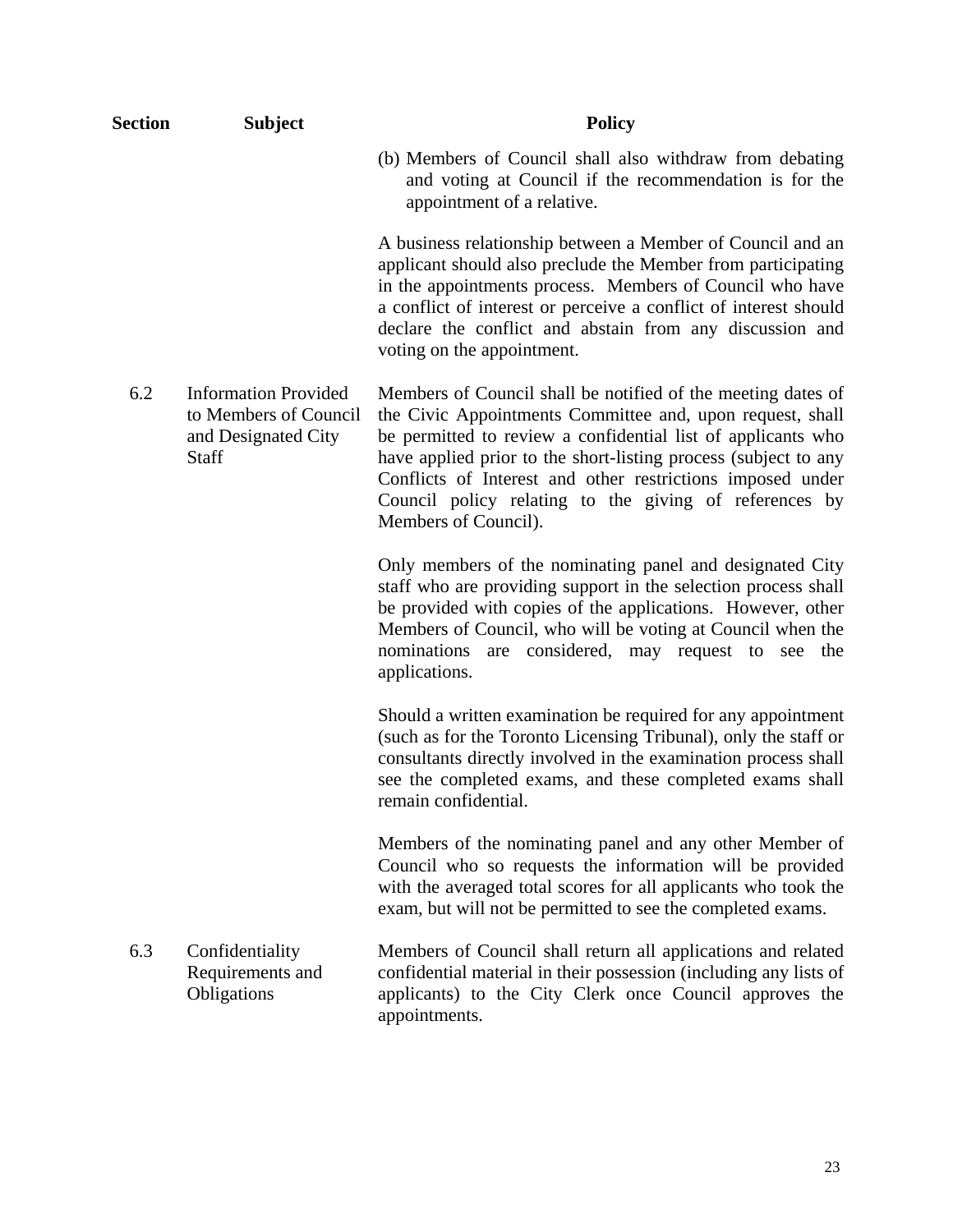| <b>Section</b> | <b>Subject</b>                                                                       | <b>Policy</b>                                                                                                                                                                                                                                                                                                                                                                                                |
|----------------|--------------------------------------------------------------------------------------|--------------------------------------------------------------------------------------------------------------------------------------------------------------------------------------------------------------------------------------------------------------------------------------------------------------------------------------------------------------------------------------------------------------|
|                |                                                                                      | (b) Members of Council shall also withdraw from debating<br>and voting at Council if the recommendation is for the<br>appointment of a relative.                                                                                                                                                                                                                                                             |
|                |                                                                                      | A business relationship between a Member of Council and an<br>applicant should also preclude the Member from participating<br>in the appointments process. Members of Council who have<br>a conflict of interest or perceive a conflict of interest should<br>declare the conflict and abstain from any discussion and<br>voting on the appointment.                                                         |
| 6.2            | <b>Information Provided</b><br>to Members of Council<br>and Designated City<br>Staff | Members of Council shall be notified of the meeting dates of<br>the Civic Appointments Committee and, upon request, shall<br>be permitted to review a confidential list of applicants who<br>have applied prior to the short-listing process (subject to any<br>Conflicts of Interest and other restrictions imposed under<br>Council policy relating to the giving of references by<br>Members of Council). |
|                |                                                                                      | Only members of the nominating panel and designated City<br>staff who are providing support in the selection process shall<br>be provided with copies of the applications. However, other<br>Members of Council, who will be voting at Council when the<br>nominations are considered, may request to see the<br>applications.                                                                               |
|                |                                                                                      | Should a written examination be required for any appointment<br>(such as for the Toronto Licensing Tribunal), only the staff or<br>consultants directly involved in the examination process shall<br>see the completed exams, and these completed exams shall<br>remain confidential.                                                                                                                        |
|                |                                                                                      | Members of the nominating panel and any other Member of<br>Council who so requests the information will be provided<br>with the averaged total scores for all applicants who took the<br>exam, but will not be permitted to see the completed exams.                                                                                                                                                         |
| 6.3            | Confidentiality<br>Requirements and<br>Obligations                                   | Members of Council shall return all applications and related<br>confidential material in their possession (including any lists of<br>applicants) to the City Clerk once Council approves the<br>appointments.                                                                                                                                                                                                |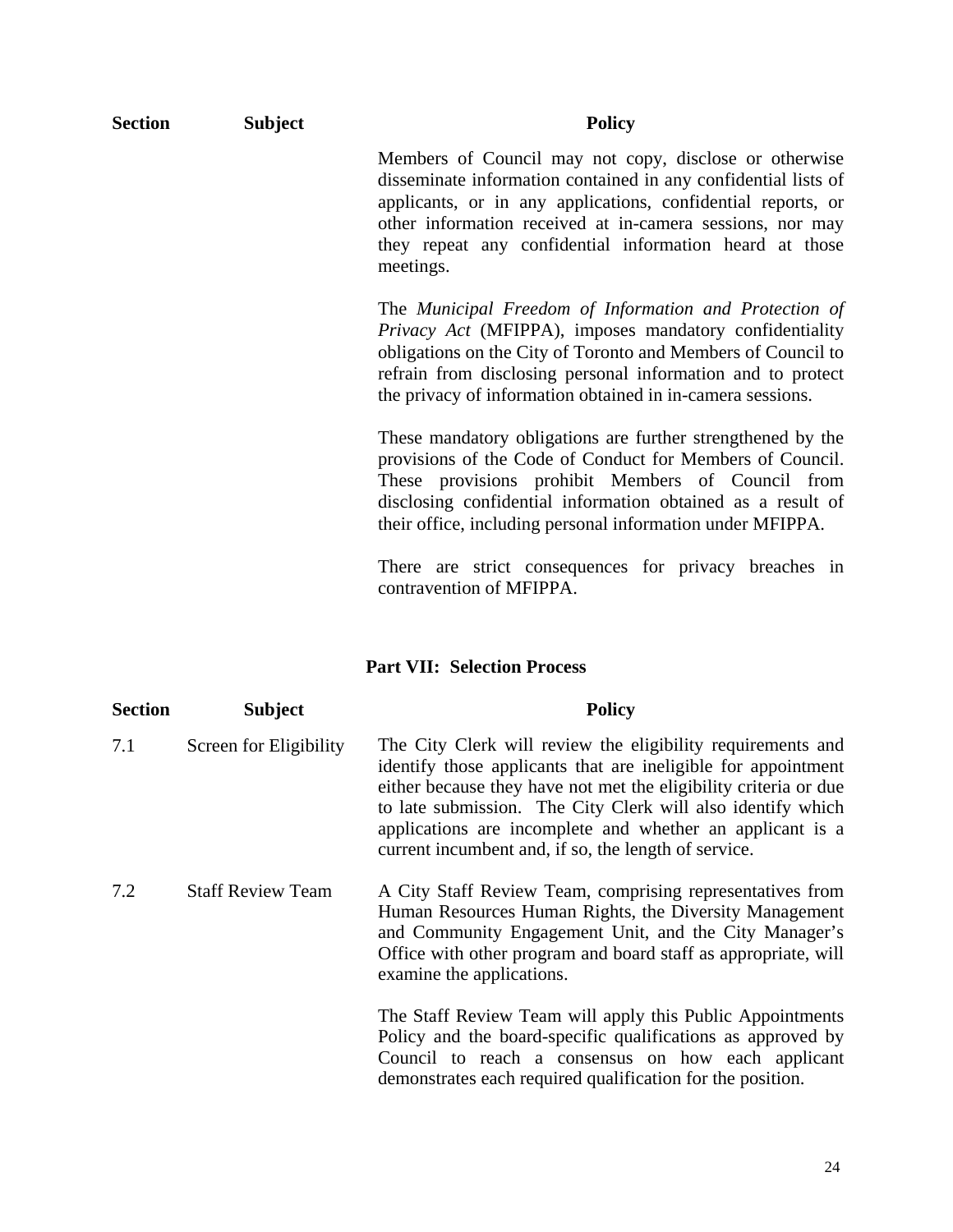| <b>Section</b> | <b>Subject</b> | <b>Policy</b>                                                                                                                                                                                                                                                                                                                 |
|----------------|----------------|-------------------------------------------------------------------------------------------------------------------------------------------------------------------------------------------------------------------------------------------------------------------------------------------------------------------------------|
|                |                | Members of Council may not copy, disclose or otherwise<br>disseminate information contained in any confidential lists of<br>applicants, or in any applications, confidential reports, or<br>other information received at in-camera sessions, nor may<br>they repeat any confidential information heard at those<br>meetings. |
|                |                | The Municipal Freedom of Information and Protection of<br>Privacy Act (MFIPPA), imposes mandatory confidentiality<br>obligations on the City of Toronto and Members of Council to<br>refrain from disclosing personal information and to protect<br>the privacy of information obtained in in-camera sessions.                |
|                |                | These mandatory obligations are further strengthened by the<br>provisions of the Code of Conduct for Members of Council.<br>These provisions prohibit Members of Council from<br>disclosing confidential information obtained as a result of<br>their office, including personal information under MFIPPA.                    |
|                |                | There are strict consequences for privacy breaches in<br>contravention of MFIPPA.                                                                                                                                                                                                                                             |

#### **Part VII: Selection Process**

| <b>Section</b> | <b>Subject</b>           | <b>Policy</b>                                                                                                                                                                                                                                                                                                                                                                        |
|----------------|--------------------------|--------------------------------------------------------------------------------------------------------------------------------------------------------------------------------------------------------------------------------------------------------------------------------------------------------------------------------------------------------------------------------------|
| 7.1            | Screen for Eligibility   | The City Clerk will review the eligibility requirements and<br>identify those applicants that are ineligible for appointment<br>either because they have not met the eligibility criteria or due<br>to late submission. The City Clerk will also identify which<br>applications are incomplete and whether an applicant is a<br>current incumbent and, if so, the length of service. |
| 7.2            | <b>Staff Review Team</b> | A City Staff Review Team, comprising representatives from<br>Human Resources Human Rights, the Diversity Management<br>and Community Engagement Unit, and the City Manager's<br>Office with other program and board staff as appropriate, will<br>examine the applications.                                                                                                          |
|                |                          | The Staff Review Team will apply this Public Appointments<br>Policy and the board-specific qualifications as approved by<br>Council to reach a consensus on how each applicant<br>demonstrates each required qualification for the position.                                                                                                                                         |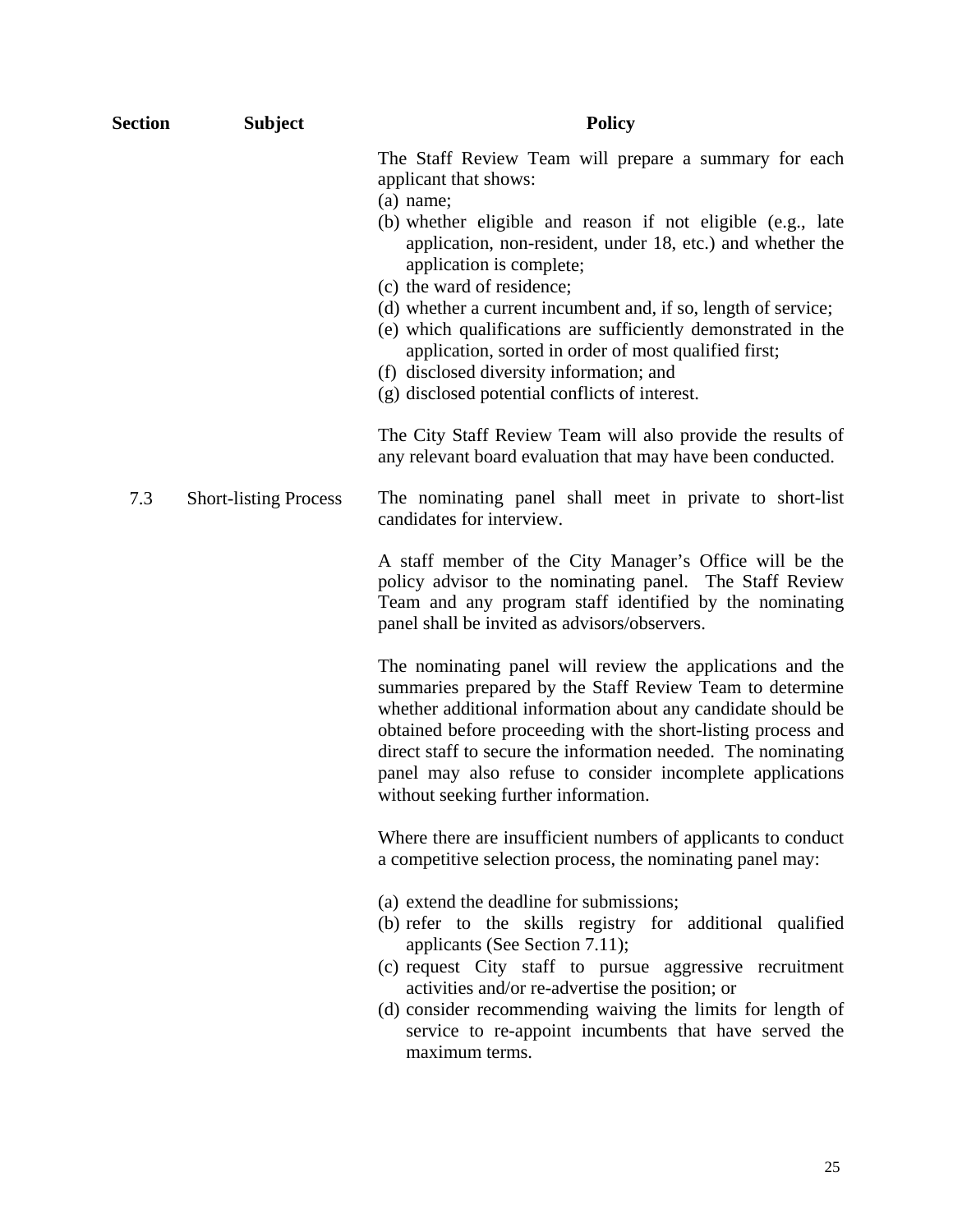| Section | <b>Subject</b>               | <b>Policy</b>                                                                                                                                                                                                                                                                                                                                                                                                                                                                                                                                                                  |
|---------|------------------------------|--------------------------------------------------------------------------------------------------------------------------------------------------------------------------------------------------------------------------------------------------------------------------------------------------------------------------------------------------------------------------------------------------------------------------------------------------------------------------------------------------------------------------------------------------------------------------------|
|         |                              | The Staff Review Team will prepare a summary for each<br>applicant that shows:<br>$(a)$ name;<br>(b) whether eligible and reason if not eligible (e.g., late<br>application, non-resident, under 18, etc.) and whether the<br>application is complete;<br>(c) the ward of residence;<br>(d) whether a current incumbent and, if so, length of service;<br>(e) which qualifications are sufficiently demonstrated in the<br>application, sorted in order of most qualified first;<br>(f) disclosed diversity information; and<br>(g) disclosed potential conflicts of interest. |
|         |                              | The City Staff Review Team will also provide the results of<br>any relevant board evaluation that may have been conducted.                                                                                                                                                                                                                                                                                                                                                                                                                                                     |
| 7.3     | <b>Short-listing Process</b> | The nominating panel shall meet in private to short-list<br>candidates for interview.                                                                                                                                                                                                                                                                                                                                                                                                                                                                                          |
|         |                              | A staff member of the City Manager's Office will be the<br>policy advisor to the nominating panel. The Staff Review<br>Team and any program staff identified by the nominating<br>panel shall be invited as advisors/observers.                                                                                                                                                                                                                                                                                                                                                |
|         |                              | The nominating panel will review the applications and the<br>summaries prepared by the Staff Review Team to determine<br>whether additional information about any candidate should be<br>obtained before proceeding with the short-listing process and<br>direct staff to secure the information needed. The nominating<br>panel may also refuse to consider incomplete applications<br>without seeking further information.                                                                                                                                                   |
|         |                              | Where there are insufficient numbers of applicants to conduct<br>a competitive selection process, the nominating panel may:                                                                                                                                                                                                                                                                                                                                                                                                                                                    |
|         |                              | (a) extend the deadline for submissions;<br>(b) refer to the skills registry for additional qualified<br>applicants (See Section 7.11);<br>(c) request City staff to pursue aggressive recruitment<br>activities and/or re-advertise the position; or<br>(d) consider recommending waiving the limits for length of<br>service to re-appoint incumbents that have served the<br>maximum terms.                                                                                                                                                                                 |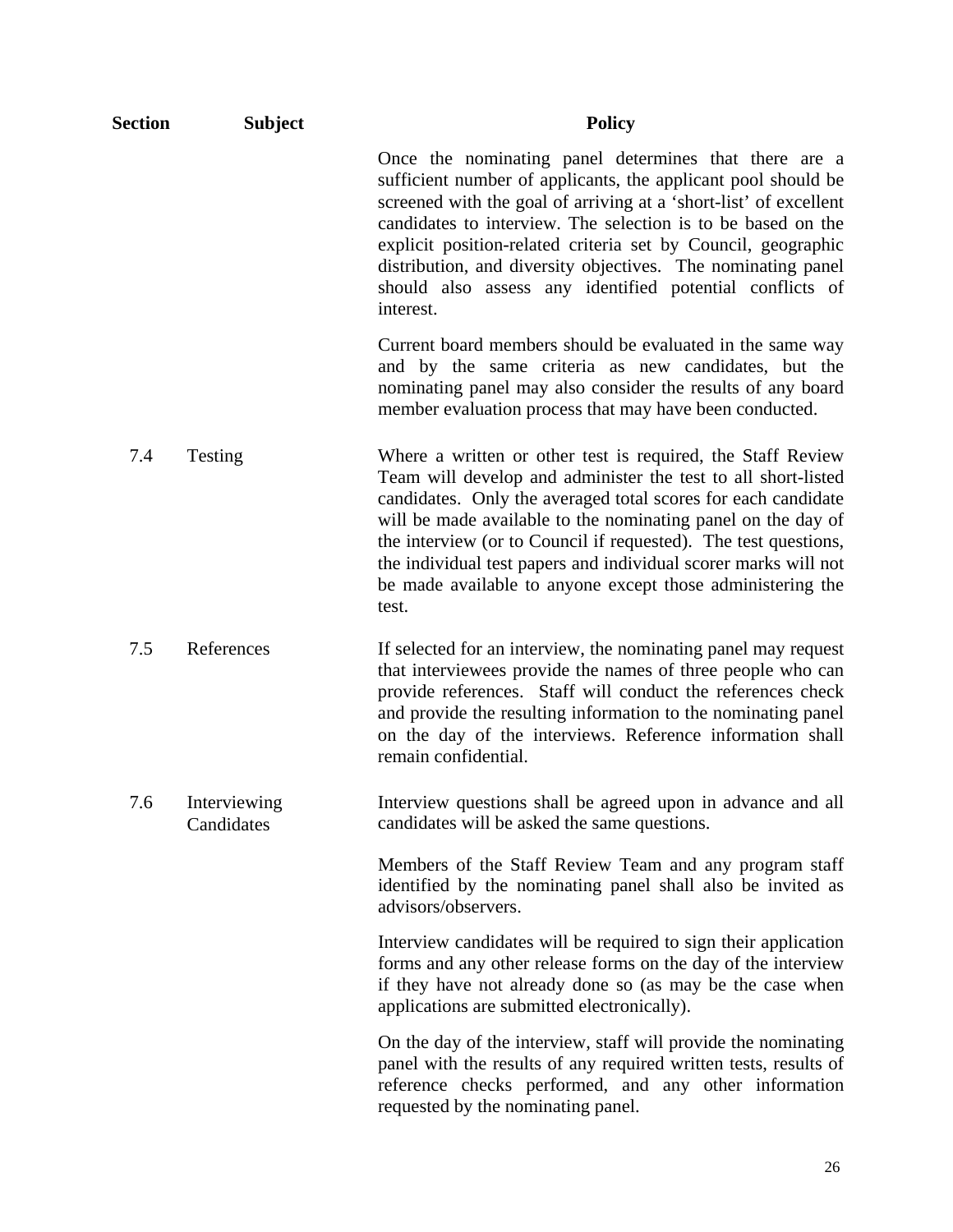| Section | <b>Subject</b>             | <b>Policy</b>                                                                                                                                                                                                                                                                                                                                                                                                                                                              |
|---------|----------------------------|----------------------------------------------------------------------------------------------------------------------------------------------------------------------------------------------------------------------------------------------------------------------------------------------------------------------------------------------------------------------------------------------------------------------------------------------------------------------------|
|         |                            | Once the nominating panel determines that there are a<br>sufficient number of applicants, the applicant pool should be<br>screened with the goal of arriving at a 'short-list' of excellent<br>candidates to interview. The selection is to be based on the<br>explicit position-related criteria set by Council, geographic<br>distribution, and diversity objectives. The nominating panel<br>should also assess any identified potential conflicts of<br>interest.      |
|         |                            | Current board members should be evaluated in the same way<br>and by the same criteria as new candidates, but the<br>nominating panel may also consider the results of any board<br>member evaluation process that may have been conducted.                                                                                                                                                                                                                                 |
| 7.4     | Testing                    | Where a written or other test is required, the Staff Review<br>Team will develop and administer the test to all short-listed<br>candidates. Only the averaged total scores for each candidate<br>will be made available to the nominating panel on the day of<br>the interview (or to Council if requested). The test questions,<br>the individual test papers and individual scorer marks will not<br>be made available to anyone except those administering the<br>test. |
| 7.5     | References                 | If selected for an interview, the nominating panel may request<br>that interviewees provide the names of three people who can<br>provide references. Staff will conduct the references check<br>and provide the resulting information to the nominating panel<br>on the day of the interviews. Reference information shall<br>remain confidential.                                                                                                                         |
| 7.6     | Interviewing<br>Candidates | Interview questions shall be agreed upon in advance and all<br>candidates will be asked the same questions.                                                                                                                                                                                                                                                                                                                                                                |
|         |                            | Members of the Staff Review Team and any program staff<br>identified by the nominating panel shall also be invited as<br>advisors/observers.                                                                                                                                                                                                                                                                                                                               |
|         |                            | Interview candidates will be required to sign their application<br>forms and any other release forms on the day of the interview<br>if they have not already done so (as may be the case when<br>applications are submitted electronically).                                                                                                                                                                                                                               |
|         |                            | On the day of the interview, staff will provide the nominating<br>panel with the results of any required written tests, results of<br>reference checks performed, and any other information<br>requested by the nominating panel.                                                                                                                                                                                                                                          |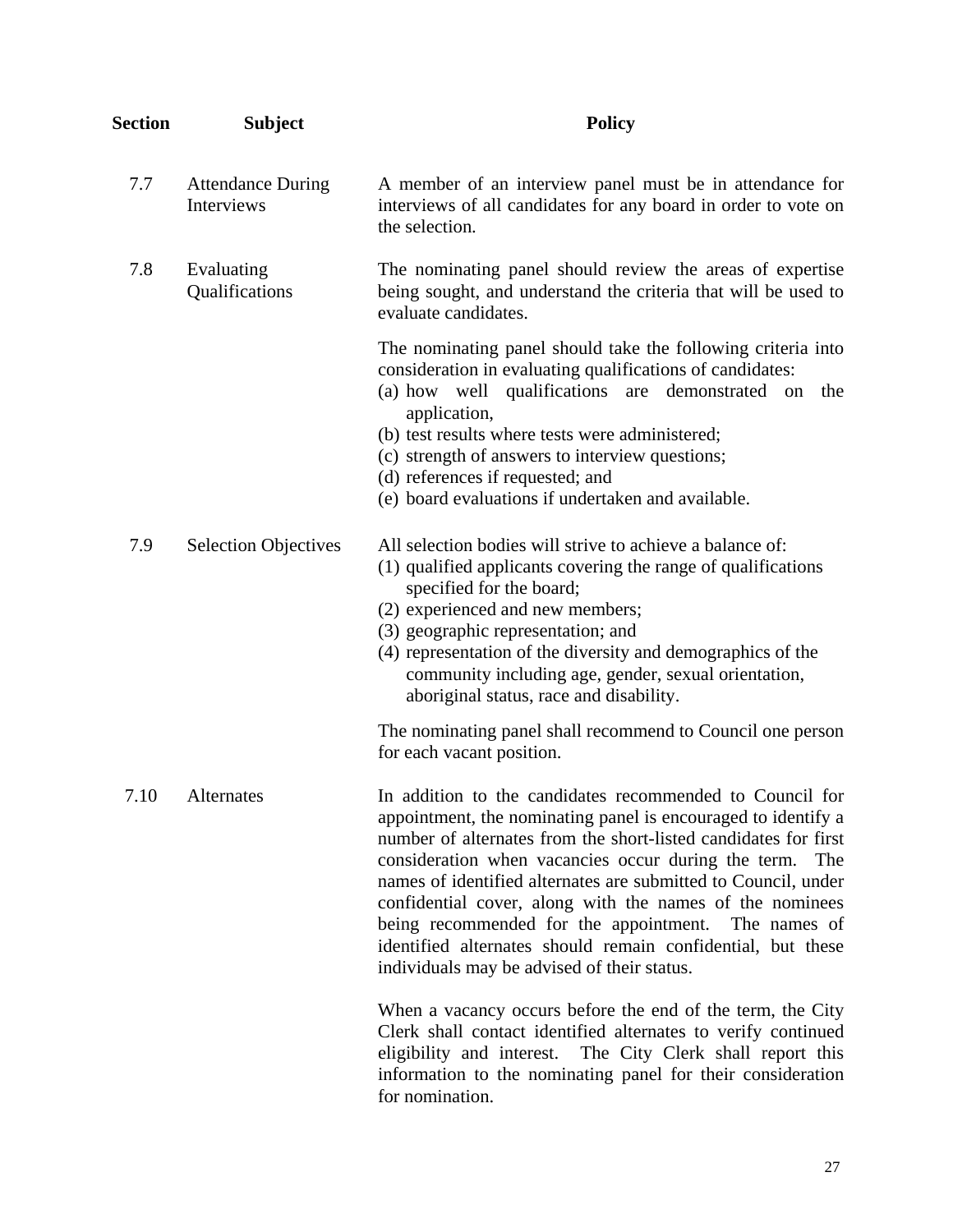| <b>Section</b> | <b>Subject</b>                         | <b>Policy</b>                                                                                                                                                                                                                                                                                                                                                                                                                                                                                                                                                    |
|----------------|----------------------------------------|------------------------------------------------------------------------------------------------------------------------------------------------------------------------------------------------------------------------------------------------------------------------------------------------------------------------------------------------------------------------------------------------------------------------------------------------------------------------------------------------------------------------------------------------------------------|
| 7.7            | <b>Attendance During</b><br>Interviews | A member of an interview panel must be in attendance for<br>interviews of all candidates for any board in order to vote on<br>the selection.                                                                                                                                                                                                                                                                                                                                                                                                                     |
| 7.8            | Evaluating<br>Qualifications           | The nominating panel should review the areas of expertise<br>being sought, and understand the criteria that will be used to<br>evaluate candidates.                                                                                                                                                                                                                                                                                                                                                                                                              |
|                |                                        | The nominating panel should take the following criteria into<br>consideration in evaluating qualifications of candidates:<br>(a) how well qualifications<br>are demonstrated on<br>the<br>application,<br>(b) test results where tests were administered;<br>(c) strength of answers to interview questions;<br>(d) references if requested; and<br>(e) board evaluations if undertaken and available.                                                                                                                                                           |
| 7.9            | <b>Selection Objectives</b>            | All selection bodies will strive to achieve a balance of:<br>(1) qualified applicants covering the range of qualifications<br>specified for the board;<br>(2) experienced and new members;<br>(3) geographic representation; and<br>(4) representation of the diversity and demographics of the<br>community including age, gender, sexual orientation,<br>aboriginal status, race and disability.                                                                                                                                                               |
|                |                                        | The nominating panel shall recommend to Council one person<br>for each vacant position.                                                                                                                                                                                                                                                                                                                                                                                                                                                                          |
| 7.10           | Alternates                             | In addition to the candidates recommended to Council for<br>appointment, the nominating panel is encouraged to identify a<br>number of alternates from the short-listed candidates for first<br>consideration when vacancies occur during the term.<br>The<br>names of identified alternates are submitted to Council, under<br>confidential cover, along with the names of the nominees<br>being recommended for the appointment.<br>The names of<br>identified alternates should remain confidential, but these<br>individuals may be advised of their status. |
|                |                                        | When a vacancy occurs before the end of the term, the City<br>Clerk shall contact identified alternates to verify continued<br>eligibility and interest. The City Clerk shall report this<br>information to the nominating panel for their consideration<br>for nomination.                                                                                                                                                                                                                                                                                      |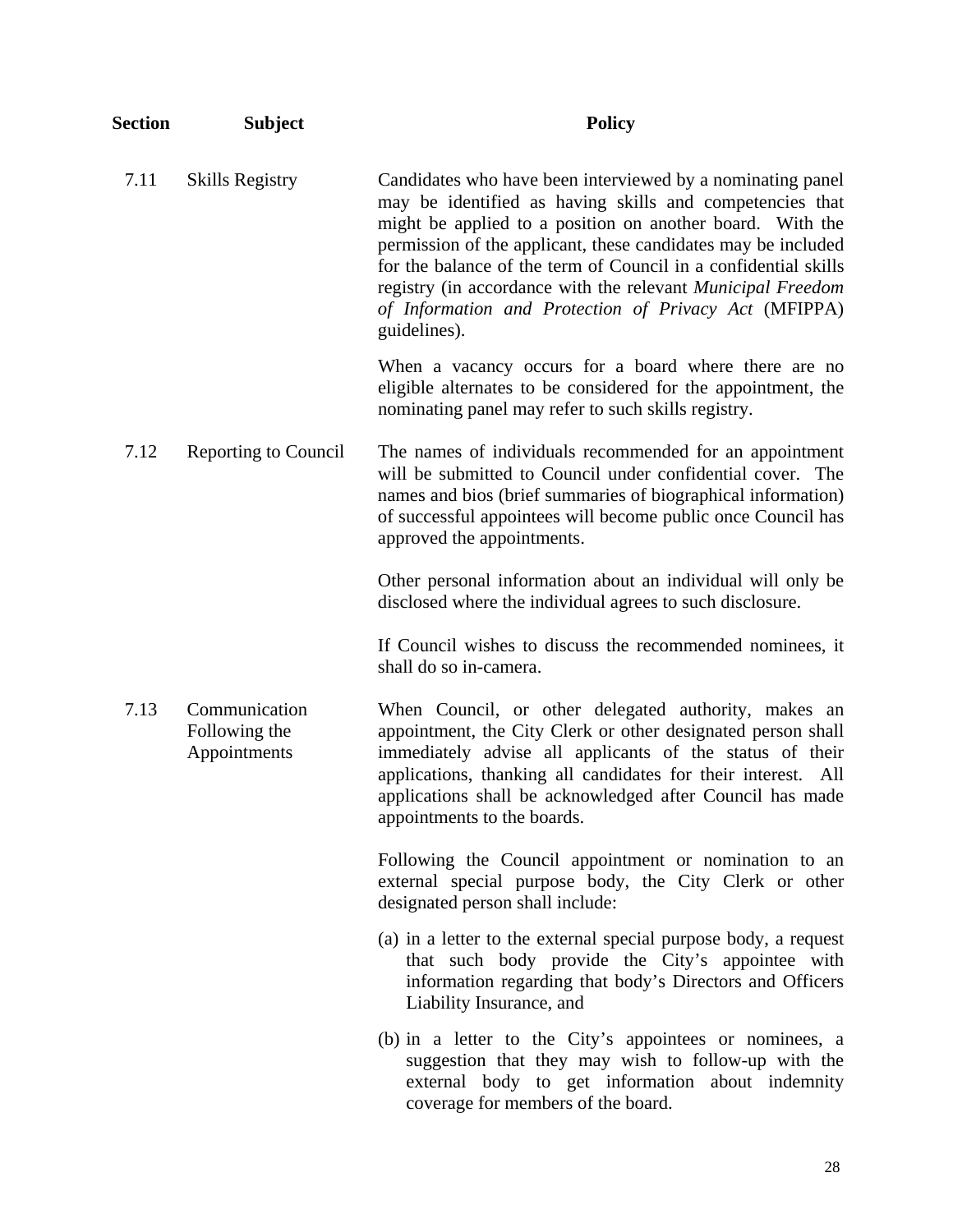| <b>Section</b> | <b>Subject</b>                                 | <b>Policy</b>                                                                                                                                                                                                                                                                                                                                                                                                                                                   |
|----------------|------------------------------------------------|-----------------------------------------------------------------------------------------------------------------------------------------------------------------------------------------------------------------------------------------------------------------------------------------------------------------------------------------------------------------------------------------------------------------------------------------------------------------|
| 7.11           | <b>Skills Registry</b>                         | Candidates who have been interviewed by a nominating panel<br>may be identified as having skills and competencies that<br>might be applied to a position on another board. With the<br>permission of the applicant, these candidates may be included<br>for the balance of the term of Council in a confidential skills<br>registry (in accordance with the relevant Municipal Freedom<br>of Information and Protection of Privacy Act (MFIPPA)<br>guidelines). |
|                |                                                | When a vacancy occurs for a board where there are no<br>eligible alternates to be considered for the appointment, the<br>nominating panel may refer to such skills registry.                                                                                                                                                                                                                                                                                    |
| 7.12           | <b>Reporting to Council</b>                    | The names of individuals recommended for an appointment<br>will be submitted to Council under confidential cover. The<br>names and bios (brief summaries of biographical information)<br>of successful appointees will become public once Council has<br>approved the appointments.                                                                                                                                                                             |
|                |                                                | Other personal information about an individual will only be<br>disclosed where the individual agrees to such disclosure.                                                                                                                                                                                                                                                                                                                                        |
|                |                                                | If Council wishes to discuss the recommended nominees, it<br>shall do so in-camera.                                                                                                                                                                                                                                                                                                                                                                             |
| 7.13           | Communication<br>Following the<br>Appointments | When Council, or other delegated authority, makes an<br>appointment, the City Clerk or other designated person shall<br>immediately advise all applicants of the status of their<br>applications, thanking all candidates for their interest.<br>All<br>applications shall be acknowledged after Council has made<br>appointments to the boards.                                                                                                                |
|                |                                                | Following the Council appointment or nomination to an<br>external special purpose body, the City Clerk or other<br>designated person shall include:                                                                                                                                                                                                                                                                                                             |
|                |                                                | (a) in a letter to the external special purpose body, a request<br>that such body provide the City's appointee with<br>information regarding that body's Directors and Officers<br>Liability Insurance, and                                                                                                                                                                                                                                                     |
|                |                                                | (b) in a letter to the City's appointees or nominees, a<br>suggestion that they may wish to follow-up with the<br>external body to get information about indemnity<br>coverage for members of the board.                                                                                                                                                                                                                                                        |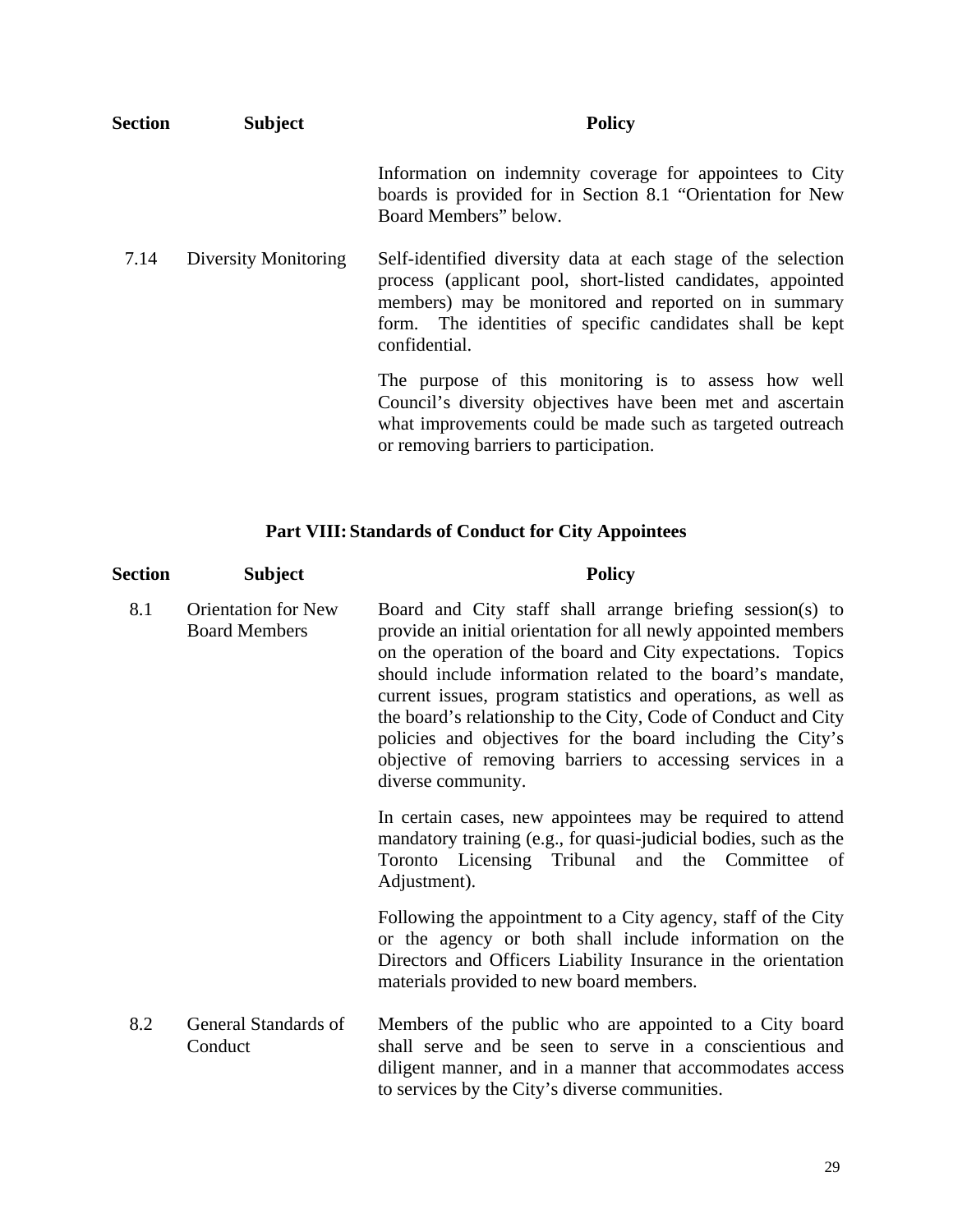| <b>Section</b> | <b>Subject</b>       | <b>Policy</b>                                                                                                                                                                                                                                                      |
|----------------|----------------------|--------------------------------------------------------------------------------------------------------------------------------------------------------------------------------------------------------------------------------------------------------------------|
|                |                      | Information on indemnity coverage for appointees to City<br>boards is provided for in Section 8.1 "Orientation for New<br>Board Members" below.                                                                                                                    |
| 7.14           | Diversity Monitoring | Self-identified diversity data at each stage of the selection<br>process (applicant pool, short-listed candidates, appointed<br>members) may be monitored and reported on in summary<br>form. The identities of specific candidates shall be kept<br>confidential. |
|                |                      | The purpose of this monitoring is to assess how well<br>Council's diversity objectives have been met and ascertain<br>what improvements could be made such as targeted outreach<br>or removing barriers to participation.                                          |

# **Part VIII: Standards of Conduct for City Appointees**

| Section | <b>Subject</b>                                     | <b>Policy</b>                                                                                                                                                                                                                                                                                                                                                                                                                                                                                                                                |
|---------|----------------------------------------------------|----------------------------------------------------------------------------------------------------------------------------------------------------------------------------------------------------------------------------------------------------------------------------------------------------------------------------------------------------------------------------------------------------------------------------------------------------------------------------------------------------------------------------------------------|
| 8.1     | <b>Orientation for New</b><br><b>Board Members</b> | Board and City staff shall arrange briefing session(s) to<br>provide an initial orientation for all newly appointed members<br>on the operation of the board and City expectations. Topics<br>should include information related to the board's mandate,<br>current issues, program statistics and operations, as well as<br>the board's relationship to the City, Code of Conduct and City<br>policies and objectives for the board including the City's<br>objective of removing barriers to accessing services in a<br>diverse community. |
|         |                                                    | In certain cases, new appointees may be required to attend<br>mandatory training (e.g., for quasi-judicial bodies, such as the<br>Toronto Licensing Tribunal and the Committee<br>of<br>Adjustment).                                                                                                                                                                                                                                                                                                                                         |
|         |                                                    | Following the appointment to a City agency, staff of the City<br>or the agency or both shall include information on the<br>Directors and Officers Liability Insurance in the orientation<br>materials provided to new board members.                                                                                                                                                                                                                                                                                                         |
| 8.2     | General Standards of<br>Conduct                    | Members of the public who are appointed to a City board<br>shall serve and be seen to serve in a conscientious and<br>diligent manner, and in a manner that accommodates access<br>to services by the City's diverse communities.                                                                                                                                                                                                                                                                                                            |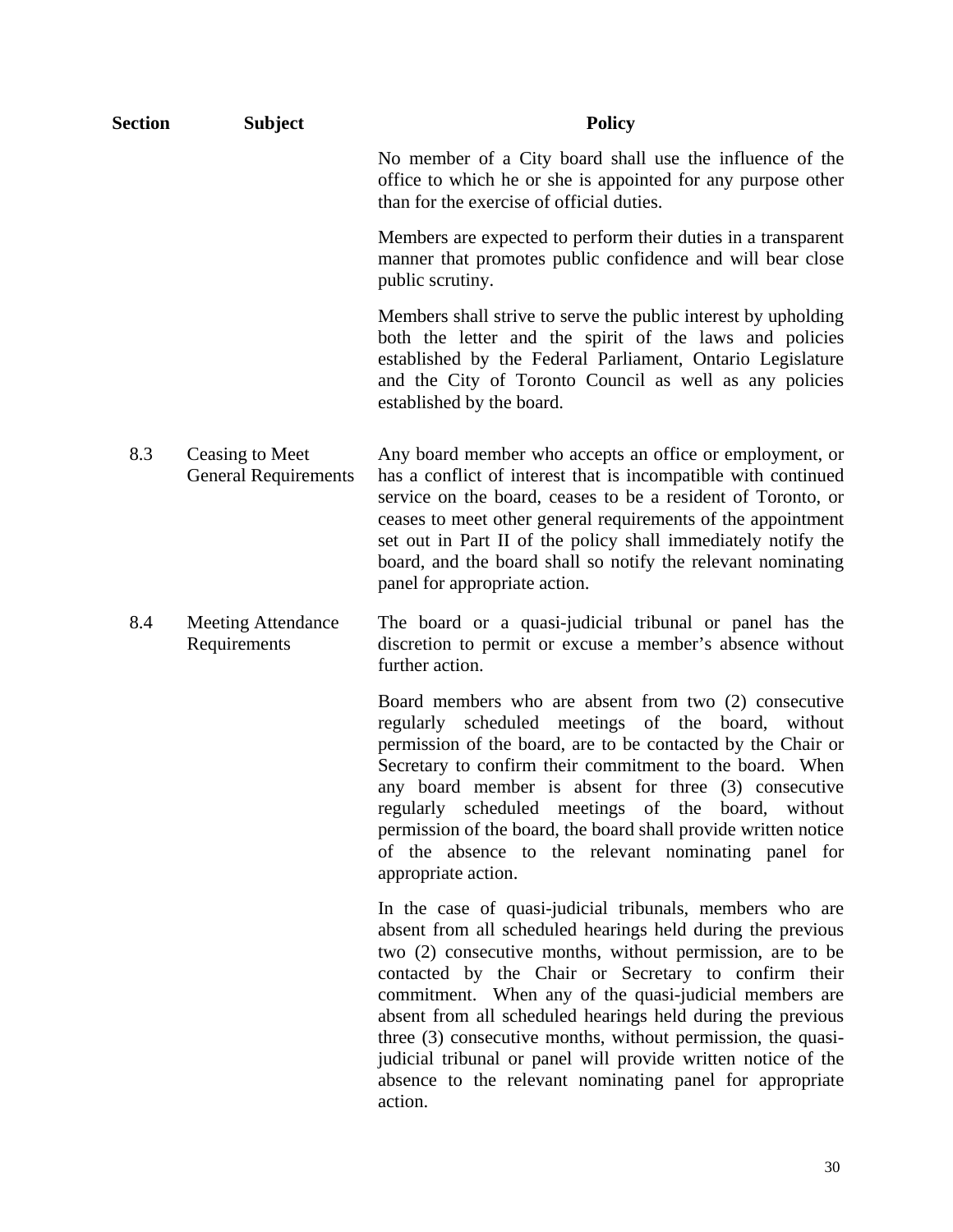| <b>Section</b> | <b>Subject</b>                                 | <b>Policy</b>                                                                                                                                                                                                                                                                                                                                                                                                                                                                                                                                                                 |
|----------------|------------------------------------------------|-------------------------------------------------------------------------------------------------------------------------------------------------------------------------------------------------------------------------------------------------------------------------------------------------------------------------------------------------------------------------------------------------------------------------------------------------------------------------------------------------------------------------------------------------------------------------------|
|                |                                                | No member of a City board shall use the influence of the<br>office to which he or she is appointed for any purpose other<br>than for the exercise of official duties.                                                                                                                                                                                                                                                                                                                                                                                                         |
|                |                                                | Members are expected to perform their duties in a transparent<br>manner that promotes public confidence and will bear close<br>public scrutiny.                                                                                                                                                                                                                                                                                                                                                                                                                               |
|                |                                                | Members shall strive to serve the public interest by upholding<br>both the letter and the spirit of the laws and policies<br>established by the Federal Parliament, Ontario Legislature<br>and the City of Toronto Council as well as any policies<br>established by the board.                                                                                                                                                                                                                                                                                               |
| 8.3            | Ceasing to Meet<br><b>General Requirements</b> | Any board member who accepts an office or employment, or<br>has a conflict of interest that is incompatible with continued<br>service on the board, ceases to be a resident of Toronto, or<br>ceases to meet other general requirements of the appointment<br>set out in Part II of the policy shall immediately notify the<br>board, and the board shall so notify the relevant nominating<br>panel for appropriate action.                                                                                                                                                  |
| 8.4            | <b>Meeting Attendance</b><br>Requirements      | The board or a quasi-judicial tribunal or panel has the<br>discretion to permit or excuse a member's absence without<br>further action.                                                                                                                                                                                                                                                                                                                                                                                                                                       |
|                |                                                | Board members who are absent from two (2) consecutive<br>scheduled meetings of the board,<br>regularly<br>without<br>permission of the board, are to be contacted by the Chair or<br>Secretary to confirm their commitment to the board. When<br>any board member is absent for three (3) consecutive<br>regularly scheduled meetings of the board, without<br>permission of the board, the board shall provide written notice<br>of the absence to the relevant nominating panel for<br>appropriate action.                                                                  |
|                |                                                | In the case of quasi-judicial tribunals, members who are<br>absent from all scheduled hearings held during the previous<br>two (2) consecutive months, without permission, are to be<br>contacted by the Chair or Secretary to confirm their<br>commitment. When any of the quasi-judicial members are<br>absent from all scheduled hearings held during the previous<br>three (3) consecutive months, without permission, the quasi-<br>judicial tribunal or panel will provide written notice of the<br>absence to the relevant nominating panel for appropriate<br>action. |